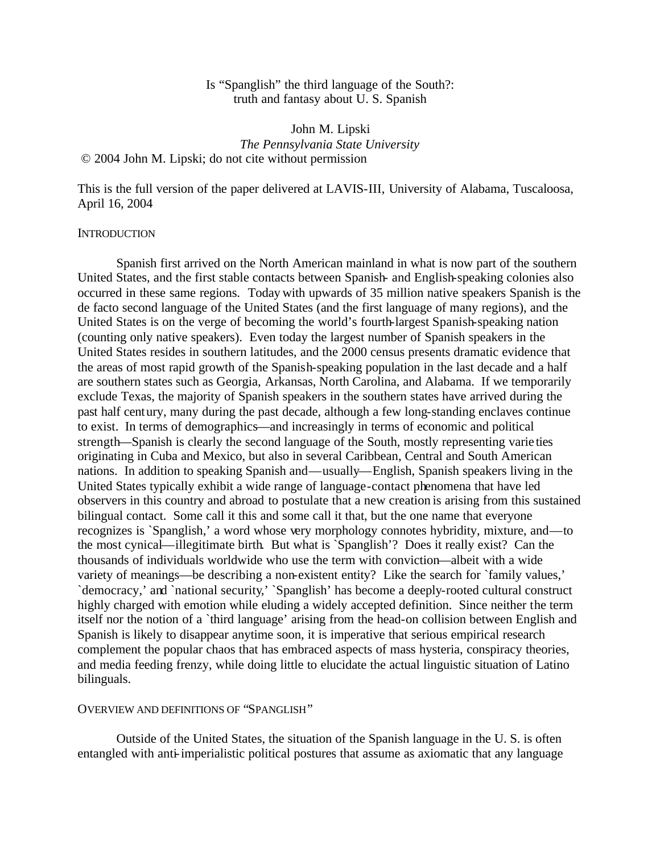# Is "Spanglish" the third language of the South?: truth and fantasy about U. S. Spanish

John M. Lipski *The Pennsylvania State University* © 2004 John M. Lipski; do not cite without permission

This is the full version of the paper delivered at LAVIS-III, University of Alabama, Tuscaloosa, April 16, 2004

#### **INTRODUCTION**

Spanish first arrived on the North American mainland in what is now part of the southern United States, and the first stable contacts between Spanish- and English-speaking colonies also occurred in these same regions. Today with upwards of 35 million native speakers Spanish is the de facto second language of the United States (and the first language of many regions), and the United States is on the verge of becoming the world's fourth-largest Spanish-speaking nation (counting only native speakers). Even today the largest number of Spanish speakers in the United States resides in southern latitudes, and the 2000 census presents dramatic evidence that the areas of most rapid growth of the Spanish-speaking population in the last decade and a half are southern states such as Georgia, Arkansas, North Carolina, and Alabama. If we temporarily exclude Texas, the majority of Spanish speakers in the southern states have arrived during the past half century, many during the past decade, although a few long-standing enclaves continue to exist. In terms of demographics—and increasingly in terms of economic and political strength—Spanish is clearly the second language of the South, mostly representing varie ties originating in Cuba and Mexico, but also in several Caribbean, Central and South American nations. In addition to speaking Spanish and—usually—English, Spanish speakers living in the United States typically exhibit a wide range of language-contact phenomena that have led observers in this country and abroad to postulate that a new creation is arising from this sustained bilingual contact. Some call it this and some call it that, but the one name that everyone recognizes is `Spanglish,' a word whose very morphology connotes hybridity, mixture, and—to the most cynical—illegitimate birth. But what is `Spanglish'? Does it really exist? Can the thousands of individuals worldwide who use the term with conviction—albeit with a wide variety of meanings—be describing a non-existent entity? Like the search for `family values,' `democracy,' and `national security,' `Spanglish' has become a deeply-rooted cultural construct highly charged with emotion while eluding a widely accepted definition. Since neither the term itself nor the notion of a `third language' arising from the head-on collision between English and Spanish is likely to disappear anytime soon, it is imperative that serious empirical research complement the popular chaos that has embraced aspects of mass hysteria, conspiracy theories, and media feeding frenzy, while doing little to elucidate the actual linguistic situation of Latino bilinguals.

## OVERVIEW AND DEFINITIONS OF "SPANGLISH"

Outside of the United States, the situation of the Spanish language in the U. S. is often entangled with anti-imperialistic political postures that assume as axiomatic that any language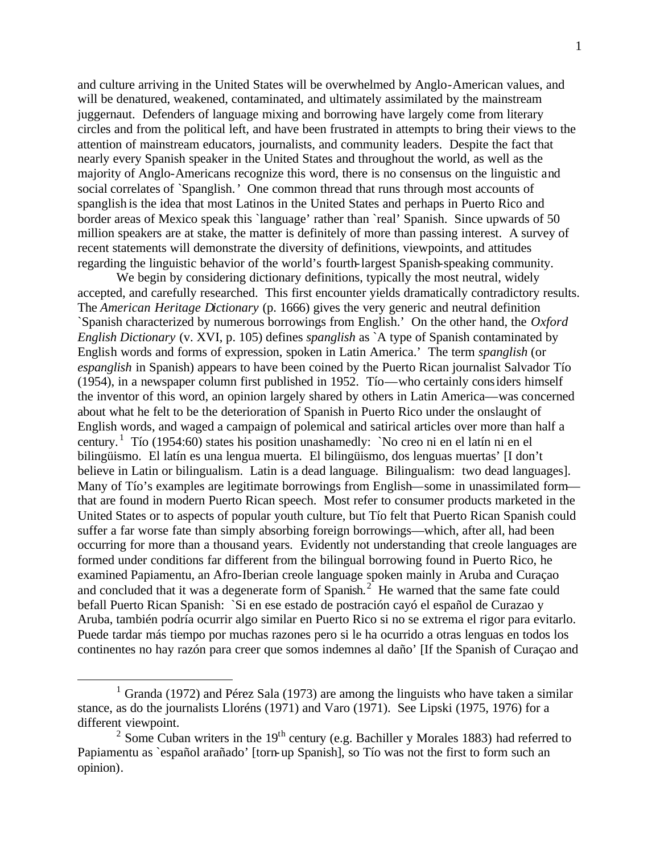and culture arriving in the United States will be overwhelmed by Anglo-American values, and will be denatured, weakened, contaminated, and ultimately assimilated by the mainstream juggernaut. Defenders of language mixing and borrowing have largely come from literary circles and from the political left, and have been frustrated in attempts to bring their views to the attention of mainstream educators, journalists, and community leaders. Despite the fact that nearly every Spanish speaker in the United States and throughout the world, as well as the majority of Anglo-Americans recognize this word, there is no consensus on the linguistic and social correlates of `Spanglish.' One common thread that runs through most accounts of spanglish is the idea that most Latinos in the United States and perhaps in Puerto Rico and border areas of Mexico speak this `language' rather than `real' Spanish. Since upwards of 50 million speakers are at stake, the matter is definitely of more than passing interest. A survey of recent statements will demonstrate the diversity of definitions, viewpoints, and attitudes regarding the linguistic behavior of the world's fourth-largest Spanish-speaking community.

We begin by considering dictionary definitions, typically the most neutral, widely accepted, and carefully researched. This first encounter yields dramatically contradictory results. The *American Heritage Dictionary* (p. 1666) gives the very generic and neutral definition `Spanish characterized by numerous borrowings from English.' On the other hand, the *Oxford English Dictionary* (v. XVI, p. 105) defines *spanglish* as `A type of Spanish contaminated by English words and forms of expression, spoken in Latin America.' The term *spanglish* (or *espanglish* in Spanish) appears to have been coined by the Puerto Rican journalist Salvador Tío (1954), in a newspaper column first published in 1952. Tío—who certainly considers himself the inventor of this word, an opinion largely shared by others in Latin America—was concerned about what he felt to be the deterioration of Spanish in Puerto Rico under the onslaught of English words, and waged a campaign of polemical and satirical articles over more than half a century. <sup>1</sup> Tío (1954:60) states his position unashamedly: `No creo ni en el latín ni en el bilingüismo. El latín es una lengua muerta. El bilingüismo, dos lenguas muertas' [I don't believe in Latin or bilingualism. Latin is a dead language. Bilingualism: two dead languages]. Many of Tío's examples are legitimate borrowings from English—some in unassimilated form that are found in modern Puerto Rican speech. Most refer to consumer products marketed in the United States or to aspects of popular youth culture, but Tío felt that Puerto Rican Spanish could suffer a far worse fate than simply absorbing foreign borrowings—which, after all, had been occurring for more than a thousand years. Evidently not understanding that creole languages are formed under conditions far different from the bilingual borrowing found in Puerto Rico, he examined Papiamentu, an Afro-Iberian creole language spoken mainly in Aruba and Curaçao and concluded that it was a degenerate form of Spanish.<sup>2</sup> He warned that the same fate could befall Puerto Rican Spanish: `Si en ese estado de postración cayó el español de Curazao y Aruba, también podría ocurrir algo similar en Puerto Rico si no se extrema el rigor para evitarlo. Puede tardar más tiempo por muchas razones pero si le ha ocurrido a otras lenguas en todos los continentes no hay razón para creer que somos indemnes al daño' [If the Spanish of Curaçao and

<sup>&</sup>lt;sup>1</sup> Granda (1972) and Pérez Sala (1973) are among the linguists who have taken a similar stance, as do the journalists Lloréns (1971) and Varo (1971). See Lipski (1975, 1976) for a different viewpoint.

<sup>&</sup>lt;sup>2</sup> Some Cuban writers in the 19<sup>th</sup> century (e.g. Bachiller y Morales 1883) had referred to Papiamentu as `español arañado' [torn-up Spanish], so Tío was not the first to form such an opinion).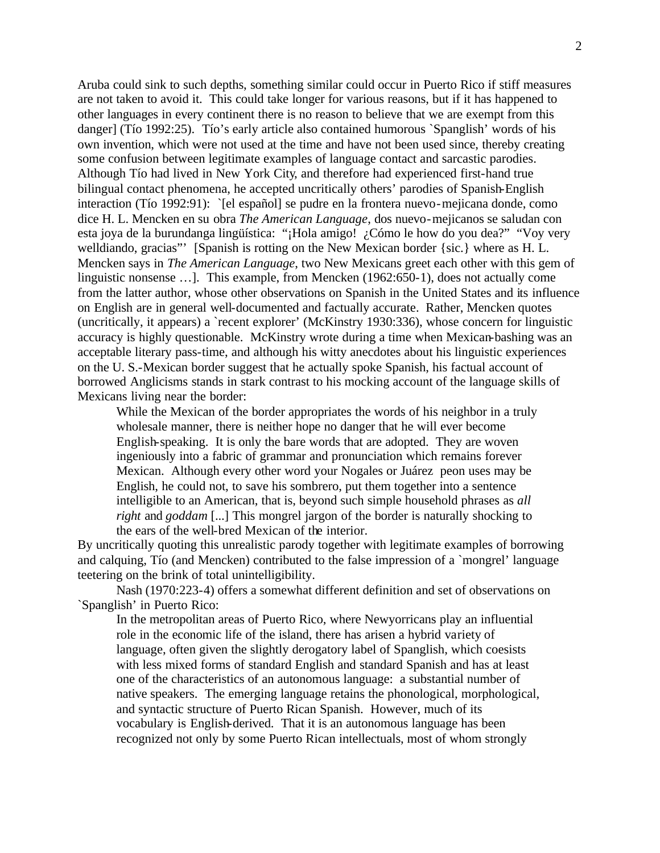Aruba could sink to such depths, something similar could occur in Puerto Rico if stiff measures are not taken to avoid it. This could take longer for various reasons, but if it has happened to other languages in every continent there is no reason to believe that we are exempt from this danger] (Tío 1992:25). Tío's early article also contained humorous `Spanglish' words of his own invention, which were not used at the time and have not been used since, thereby creating some confusion between legitimate examples of language contact and sarcastic parodies. Although Tío had lived in New York City, and therefore had experienced first-hand true bilingual contact phenomena, he accepted uncritically others' parodies of Spanish-English interaction (Tío 1992:91): `[el español] se pudre en la frontera nuevo-mejicana donde, como dice H. L. Mencken en su obra *The American Language*, dos nuevo-mejicanos se saludan con esta joya de la burundanga lingüística: "¡Hola amigo! ¿Cómo le how do you dea?" "Voy very welldiando, gracias"' [Spanish is rotting on the New Mexican border {sic.} where as H. L. Mencken says in *The American Language*, two New Mexicans greet each other with this gem of linguistic nonsense …]. This example, from Mencken (1962:650-1), does not actually come from the latter author, whose other observations on Spanish in the United States and its influence on English are in general well-documented and factually accurate. Rather, Mencken quotes (uncritically, it appears) a `recent explorer' (McKinstry 1930:336), whose concern for linguistic accuracy is highly questionable. McKinstry wrote during a time when Mexican-bashing was an acceptable literary pass-time, and although his witty anecdotes about his linguistic experiences on the U. S.-Mexican border suggest that he actually spoke Spanish, his factual account of borrowed Anglicisms stands in stark contrast to his mocking account of the language skills of Mexicans living near the border:

While the Mexican of the border appropriates the words of his neighbor in a truly wholesale manner, there is neither hope no danger that he will ever become English-speaking. It is only the bare words that are adopted. They are woven ingeniously into a fabric of grammar and pronunciation which remains forever Mexican. Although every other word your Nogales or Juárez peon uses may be English, he could not, to save his sombrero, put them together into a sentence intelligible to an American, that is, beyond such simple household phrases as *all right* and *goddam* [...] This mongrel jargon of the border is naturally shocking to the ears of the well-bred Mexican of the interior.

By uncritically quoting this unrealistic parody together with legitimate examples of borrowing and calquing, Tío (and Mencken) contributed to the false impression of a `mongrel' language teetering on the brink of total unintelligibility.

Nash (1970:223-4) offers a somewhat different definition and set of observations on `Spanglish' in Puerto Rico:

In the metropolitan areas of Puerto Rico, where Newyorricans play an influential role in the economic life of the island, there has arisen a hybrid variety of language, often given the slightly derogatory label of Spanglish, which coesists with less mixed forms of standard English and standard Spanish and has at least one of the characteristics of an autonomous language: a substantial number of native speakers. The emerging language retains the phonological, morphological, and syntactic structure of Puerto Rican Spanish. However, much of its vocabulary is English-derived. That it is an autonomous language has been recognized not only by some Puerto Rican intellectuals, most of whom strongly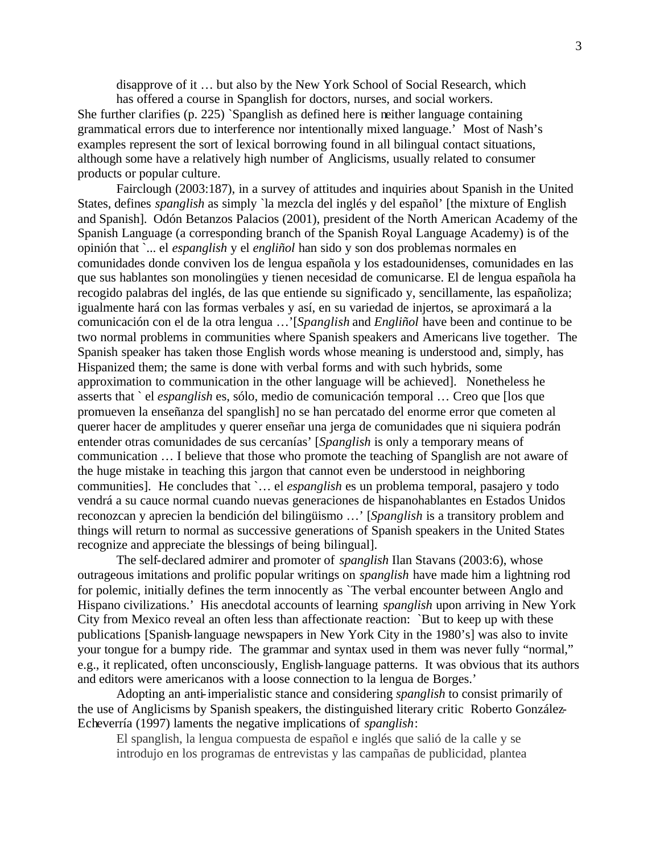disapprove of it … but also by the New York School of Social Research, which has offered a course in Spanglish for doctors, nurses, and social workers.

She further clarifies (p. 225) `Spanglish as defined here is neither language containing grammatical errors due to interference nor intentionally mixed language.' Most of Nash's examples represent the sort of lexical borrowing found in all bilingual contact situations, although some have a relatively high number of Anglicisms, usually related to consumer products or popular culture.

Fairclough (2003:187), in a survey of attitudes and inquiries about Spanish in the United States, defines *spanglish* as simply `la mezcla del inglés y del español' [the mixture of English and Spanish]. Odón Betanzos Palacios (2001), president of the North American Academy of the Spanish Language (a corresponding branch of the Spanish Royal Language Academy) is of the opinión that `... el *espanglish* y el *engliñol* han sido y son dos problemas normales en comunidades donde conviven los de lengua española y los estadounidenses, comunidades en las que sus hablantes son monolingües y tienen necesidad de comunicarse. El de lengua española ha recogido palabras del inglés, de las que entiende su significado y, sencillamente, las españoliza; igualmente hará con las formas verbales y así, en su variedad de injertos, se aproximará a la comunicación con el de la otra lengua …'[*Spanglish* and *Engliñol* have been and continue to be two normal problems in communities where Spanish speakers and Americans live together. The Spanish speaker has taken those English words whose meaning is understood and, simply, has Hispanized them; the same is done with verbal forms and with such hybrids, some approximation to communication in the other language will be achieved]. Nonetheless he asserts that ` el *espanglish* es, sólo, medio de comunicación temporal … Creo que [los que promueven la enseñanza del spanglish] no se han percatado del enorme error que cometen al querer hacer de amplitudes y querer enseñar una jerga de comunidades que ni siquiera podrán entender otras comunidades de sus cercanías' [*Spanglish* is only a temporary means of communication … I believe that those who promote the teaching of Spanglish are not aware of the huge mistake in teaching this jargon that cannot even be understood in neighboring communities]. He concludes that `… el *espanglish* es un problema temporal, pasajero y todo vendrá a su cauce normal cuando nuevas generaciones de hispanohablantes en Estados Unidos reconozcan y aprecien la bendición del bilingüismo …' [*Spanglish* is a transitory problem and things will return to normal as successive generations of Spanish speakers in the United States recognize and appreciate the blessings of being bilingual].

The self-declared admirer and promoter of *spanglish* Ilan Stavans (2003:6), whose outrageous imitations and prolific popular writings on *spanglish* have made him a lightning rod for polemic, initially defines the term innocently as `The verbal encounter between Anglo and Hispano civilizations.' His anecdotal accounts of learning *spanglish* upon arriving in New York City from Mexico reveal an often less than affectionate reaction: `But to keep up with these publications [Spanish-language newspapers in New York City in the 1980's] was also to invite your tongue for a bumpy ride. The grammar and syntax used in them was never fully "normal," e.g., it replicated, often unconsciously, English-language patterns. It was obvious that its authors and editors were americanos with a loose connection to la lengua de Borges.'

Adopting an anti-imperialistic stance and considering *spanglish* to consist primarily of the use of Anglicisms by Spanish speakers, the distinguished literary critic Roberto González-Echeverría (1997) laments the negative implications of *spanglish*:

El spanglish, la lengua compuesta de español e inglés que salió de la calle y se introdujo en los programas de entrevistas y las campañas de publicidad, plantea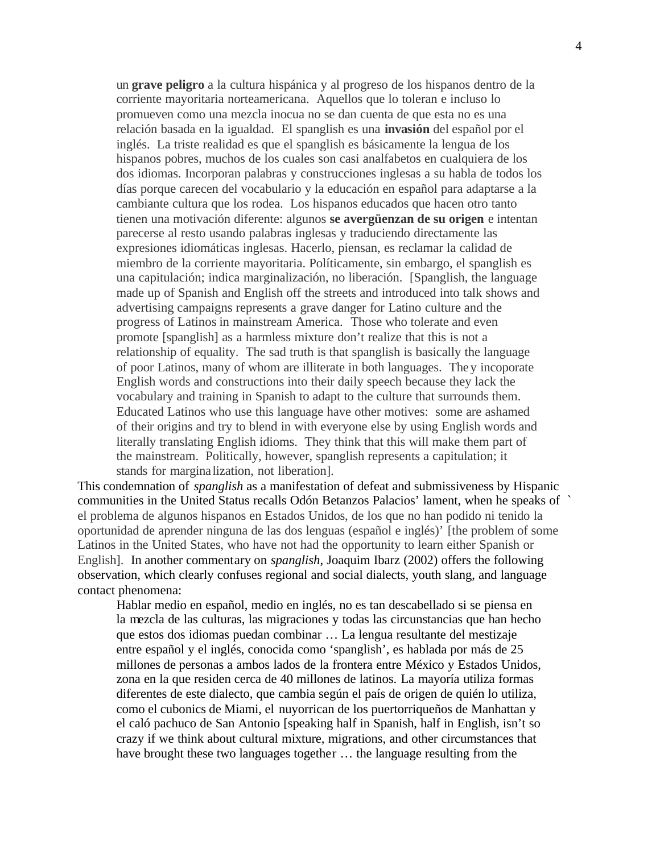un **grave peligro** a la cultura hispánica y al progreso de los hispanos dentro de la corriente mayoritaria norteamericana. Aquellos que lo toleran e incluso lo promueven como una mezcla inocua no se dan cuenta de que esta no es una relación basada en la igualdad. El spanglish es una **invasión** del español por el inglés. La triste realidad es que el spanglish es básicamente la lengua de los hispanos pobres, muchos de los cuales son casi analfabetos en cualquiera de los dos idiomas. Incorporan palabras y construcciones inglesas a su habla de todos los días porque carecen del vocabulario y la educación en español para adaptarse a la cambiante cultura que los rodea. Los hispanos educados que hacen otro tanto tienen una motivación diferente: algunos **se avergüenzan de su origen** e intentan parecerse al resto usando palabras inglesas y traduciendo directamente las expresiones idiomáticas inglesas. Hacerlo, piensan, es reclamar la calidad de miembro de la corriente mayoritaria. Políticamente, sin embargo, el spanglish es una capitulación; indica marginalización, no liberación. [Spanglish, the language made up of Spanish and English off the streets and introduced into talk shows and advertising campaigns represents a grave danger for Latino culture and the progress of Latinos in mainstream America. Those who tolerate and even promote [spanglish] as a harmless mixture don't realize that this is not a relationship of equality. The sad truth is that spanglish is basically the language of poor Latinos, many of whom are illiterate in both languages. They incoporate English words and constructions into their daily speech because they lack the vocabulary and training in Spanish to adapt to the culture that surrounds them. Educated Latinos who use this language have other motives: some are ashamed of their origins and try to blend in with everyone else by using English words and literally translating English idioms. They think that this will make them part of the mainstream. Politically, however, spanglish represents a capitulation; it stands for marginalization, not liberation].

This condemnation of *spanglish* as a manifestation of defeat and submissiveness by Hispanic communities in the United Status recalls Odón Betanzos Palacios' lament, when he speaks of ` el problema de algunos hispanos en Estados Unidos, de los que no han podido ni tenido la oportunidad de aprender ninguna de las dos lenguas (español e inglés)' [the problem of some Latinos in the United States, who have not had the opportunity to learn either Spanish or English]. In another commentary on *spanglish*, Joaquim Ibarz (2002) offers the following observation, which clearly confuses regional and social dialects, youth slang, and language contact phenomena:

Hablar medio en español, medio en inglés, no es tan descabellado si se piensa en la mezcla de las culturas, las migraciones y todas las circunstancias que han hecho que estos dos idiomas puedan combinar … La lengua resultante del mestizaje entre español y el inglés, conocida como 'spanglish', es hablada por más de 25 millones de personas a ambos lados de la frontera entre México y Estados Unidos, zona en la que residen cerca de 40 millones de latinos. La mayoría utiliza formas diferentes de este dialecto, que cambia según el país de origen de quién lo utiliza, como el cubonics de Miami, el nuyorrican de los puertorriqueños de Manhattan y el caló pachuco de San Antonio [speaking half in Spanish, half in English, isn't so crazy if we think about cultural mixture, migrations, and other circumstances that have brought these two languages together ... the language resulting from the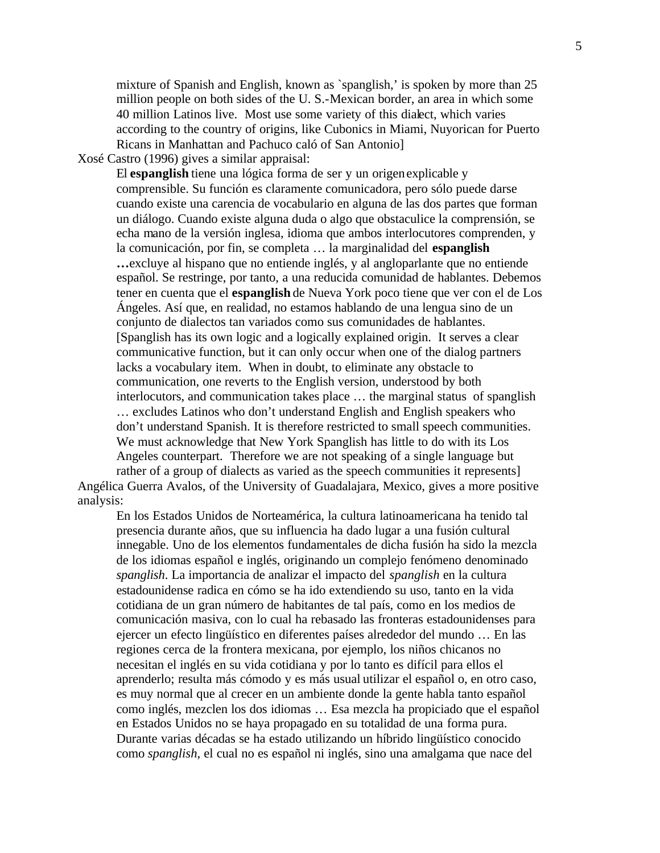mixture of Spanish and English, known as `spanglish,' is spoken by more than 25 million people on both sides of the U. S.-Mexican border, an area in which some 40 million Latinos live. Most use some variety of this dialect, which varies according to the country of origins, like Cubonics in Miami, Nuyorican for Puerto Ricans in Manhattan and Pachuco caló of San Antonio]

Xosé Castro (1996) gives a similar appraisal:

El **espanglish** tiene una lógica forma de ser y un origen explicable y comprensible. Su función es claramente comunicadora, pero sólo puede darse cuando existe una carencia de vocabulario en alguna de las dos partes que forman un diálogo. Cuando existe alguna duda o algo que obstaculice la comprensión, se echa mano de la versión inglesa, idioma que ambos interlocutores comprenden, y la comunicación, por fin, se completa … la marginalidad del **espanglish …**excluye al hispano que no entiende inglés, y al angloparlante que no entiende español. Se restringe, por tanto, a una reducida comunidad de hablantes. Debemos tener en cuenta que el **espanglish** de Nueva York poco tiene que ver con el de Los Ángeles. Así que, en realidad, no estamos hablando de una lengua sino de un conjunto de dialectos tan variados como sus comunidades de hablantes. [Spanglish has its own logic and a logically explained origin. It serves a clear communicative function, but it can only occur when one of the dialog partners lacks a vocabulary item. When in doubt, to eliminate any obstacle to communication, one reverts to the English version, understood by both interlocutors, and communication takes place … the marginal status of spanglish … excludes Latinos who don't understand English and English speakers who don't understand Spanish. It is therefore restricted to small speech communities. We must acknowledge that New York Spanglish has little to do with its Los Angeles counterpart. Therefore we are not speaking of a single language but rather of a group of dialects as varied as the speech communities it represents]

Angélica Guerra Avalos, of the University of Guadalajara, Mexico, gives a more positive analysis:

En los Estados Unidos de Norteamérica, la cultura latinoamericana ha tenido tal presencia durante años, que su influencia ha dado lugar a una fusión cultural innegable. Uno de los elementos fundamentales de dicha fusión ha sido la mezcla de los idiomas español e inglés, originando un complejo fenómeno denominado *spanglish*. La importancia de analizar el impacto del *spanglish* en la cultura estadounidense radica en cómo se ha ido extendiendo su uso, tanto en la vida cotidiana de un gran número de habitantes de tal país, como en los medios de comunicación masiva, con lo cual ha rebasado las fronteras estadounidenses para ejercer un efecto lingüístico en diferentes países alrededor del mundo … En las regiones cerca de la frontera mexicana, por ejemplo, los niños chicanos no necesitan el inglés en su vida cotidiana y por lo tanto es difícil para ellos el aprenderlo; resulta más cómodo y es más usual utilizar el español o, en otro caso, es muy normal que al crecer en un ambiente donde la gente habla tanto español como inglés, mezclen los dos idiomas … Esa mezcla ha propiciado que el español en Estados Unidos no se haya propagado en su totalidad de una forma pura. Durante varias décadas se ha estado utilizando un híbrido lingüístico conocido como *spanglish*, el cual no es español ni inglés, sino una amalgama que nace del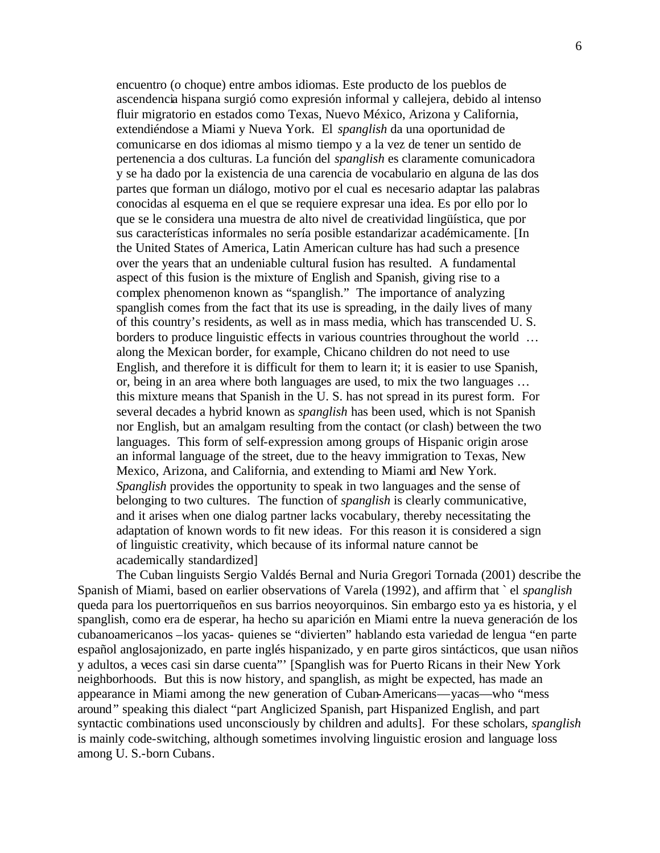encuentro (o choque) entre ambos idiomas. Este producto de los pueblos de ascendencia hispana surgió como expresión informal y callejera, debido al intenso fluir migratorio en estados como Texas, Nuevo México, Arizona y California, extendiéndose a Miami y Nueva York. El *spanglish* da una oportunidad de comunicarse en dos idiomas al mismo tiempo y a la vez de tener un sentido de pertenencia a dos culturas. La función del *spanglish* es claramente comunicadora y se ha dado por la existencia de una carencia de vocabulario en alguna de las dos partes que forman un diálogo, motivo por el cual es necesario adaptar las palabras conocidas al esquema en el que se requiere expresar una idea. Es por ello por lo que se le considera una muestra de alto nivel de creatividad lingüística, que por sus características informales no sería posible estandarizar académicamente. [In the United States of America, Latin American culture has had such a presence over the years that an undeniable cultural fusion has resulted. A fundamental aspect of this fusion is the mixture of English and Spanish, giving rise to a complex phenomenon known as "spanglish." The importance of analyzing spanglish comes from the fact that its use is spreading, in the daily lives of many of this country's residents, as well as in mass media, which has transcended U. S. borders to produce linguistic effects in various countries throughout the world ... along the Mexican border, for example, Chicano children do not need to use English, and therefore it is difficult for them to learn it; it is easier to use Spanish, or, being in an area where both languages are used, to mix the two languages … this mixture means that Spanish in the U. S. has not spread in its purest form. For several decades a hybrid known as *spanglish* has been used, which is not Spanish nor English, but an amalgam resulting from the contact (or clash) between the two languages. This form of self-expression among groups of Hispanic origin arose an informal language of the street, due to the heavy immigration to Texas, New Mexico, Arizona, and California, and extending to Miami and New York. *Spanglish* provides the opportunity to speak in two languages and the sense of belonging to two cultures. The function of *spanglish* is clearly communicative, and it arises when one dialog partner lacks vocabulary, thereby necessitating the adaptation of known words to fit new ideas. For this reason it is considered a sign of linguistic creativity, which because of its informal nature cannot be academically standardized]

The Cuban linguists Sergio Valdés Bernal and Nuria Gregori Tornada (2001) describe the Spanish of Miami, based on earlier observations of Varela (1992), and affirm that ` el *spanglish* queda para los puertorriqueños en sus barrios neoyorquinos. Sin embargo esto ya es historia, y el spanglish, como era de esperar, ha hecho su aparición en Miami entre la nueva generación de los cubanoamericanos –los yacas- quienes se "divierten" hablando esta variedad de lengua "en parte español anglosajonizado, en parte inglés hispanizado, y en parte giros sintácticos, que usan niños y adultos, a veces casi sin darse cuenta"' [Spanglish was for Puerto Ricans in their New York neighborhoods. But this is now history, and spanglish, as might be expected, has made an appearance in Miami among the new generation of Cuban-Americans—yacas—who "mess around" speaking this dialect "part Anglicized Spanish, part Hispanized English, and part syntactic combinations used unconsciously by children and adults]. For these scholars, *spanglish* is mainly code-switching, although sometimes involving linguistic erosion and language loss among U. S.-born Cubans.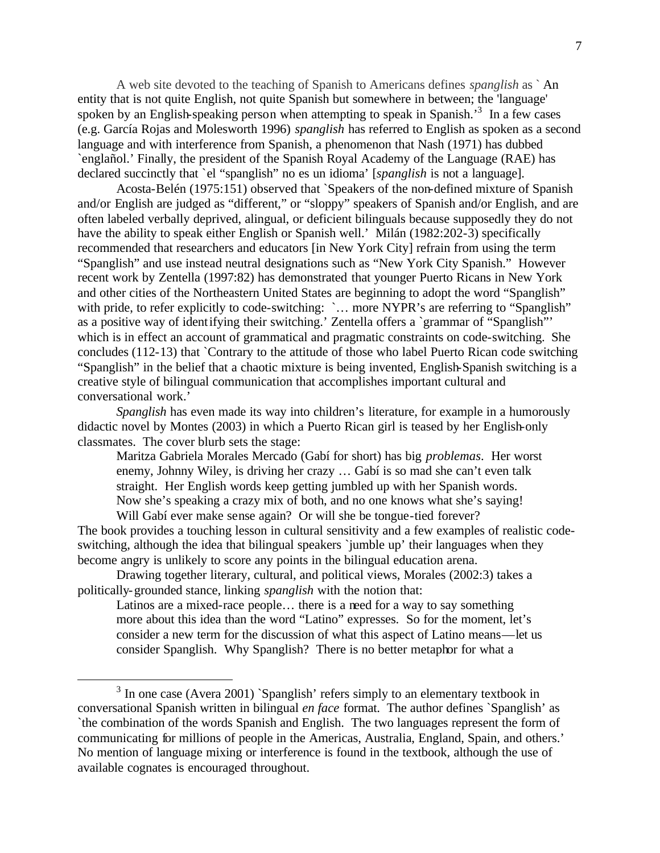A web site devoted to the teaching of Spanish to Americans defines *spanglish* as ` An entity that is not quite English, not quite Spanish but somewhere in between; the 'language' spoken by an English-speaking person when attempting to speak in Spanish.<sup>3</sup> In a few cases (e.g. García Rojas and Molesworth 1996) *spanglish* has referred to English as spoken as a second language and with interference from Spanish, a phenomenon that Nash (1971) has dubbed `englañol.' Finally, the president of the Spanish Royal Academy of the Language (RAE) has declared succinctly that `el "spanglish" no es un idioma' [*spanglish* is not a language].

Acosta-Belén (1975:151) observed that `Speakers of the non-defined mixture of Spanish and/or English are judged as "different," or "sloppy" speakers of Spanish and/or English, and are often labeled verbally deprived, alingual, or deficient bilinguals because supposedly they do not have the ability to speak either English or Spanish well.' Milán (1982:202-3) specifically recommended that researchers and educators [in New York City] refrain from using the term "Spanglish" and use instead neutral designations such as "New York City Spanish." However recent work by Zentella (1997:82) has demonstrated that younger Puerto Ricans in New York and other cities of the Northeastern United States are beginning to adopt the word "Spanglish" with pride, to refer explicitly to code-switching: `... more NYPR's are referring to "Spanglish" as a positive way of identifying their switching.' Zentella offers a `grammar of "Spanglish"' which is in effect an account of grammatical and pragmatic constraints on code-switching. She concludes (112-13) that `Contrary to the attitude of those who label Puerto Rican code switching "Spanglish" in the belief that a chaotic mixture is being invented, English-Spanish switching is a creative style of bilingual communication that accomplishes important cultural and conversational work.'

*Spanglish* has even made its way into children's literature, for example in a humorously didactic novel by Montes (2003) in which a Puerto Rican girl is teased by her English-only classmates. The cover blurb sets the stage:

Maritza Gabriela Morales Mercado (Gabí for short) has big *problemas*. Her worst enemy, Johnny Wiley, is driving her crazy … Gabí is so mad she can't even talk straight. Her English words keep getting jumbled up with her Spanish words. Now she's speaking a crazy mix of both, and no one knows what she's saying! Will Gabí ever make sense again? Or will she be tongue-tied forever?

The book provides a touching lesson in cultural sensitivity and a few examples of realistic codeswitching, although the idea that bilingual speakers `jumble up' their languages when they become angry is unlikely to score any points in the bilingual education arena.

Drawing together literary, cultural, and political views, Morales (2002:3) takes a politically-grounded stance, linking *spanglish* with the notion that:

 $\overline{a}$ 

Latinos are a mixed-race people… there is a need for a way to say something more about this idea than the word "Latino" expresses. So for the moment, let's consider a new term for the discussion of what this aspect of Latino means—let us consider Spanglish. Why Spanglish? There is no better metaphor for what a

 $3$  In one case (Avera 2001) `Spanglish' refers simply to an elementary textbook in conversational Spanish written in bilingual *en face* format. The author defines `Spanglish' as `the combination of the words Spanish and English. The two languages represent the form of communicating for millions of people in the Americas, Australia, England, Spain, and others.' No mention of language mixing or interference is found in the textbook, although the use of available cognates is encouraged throughout.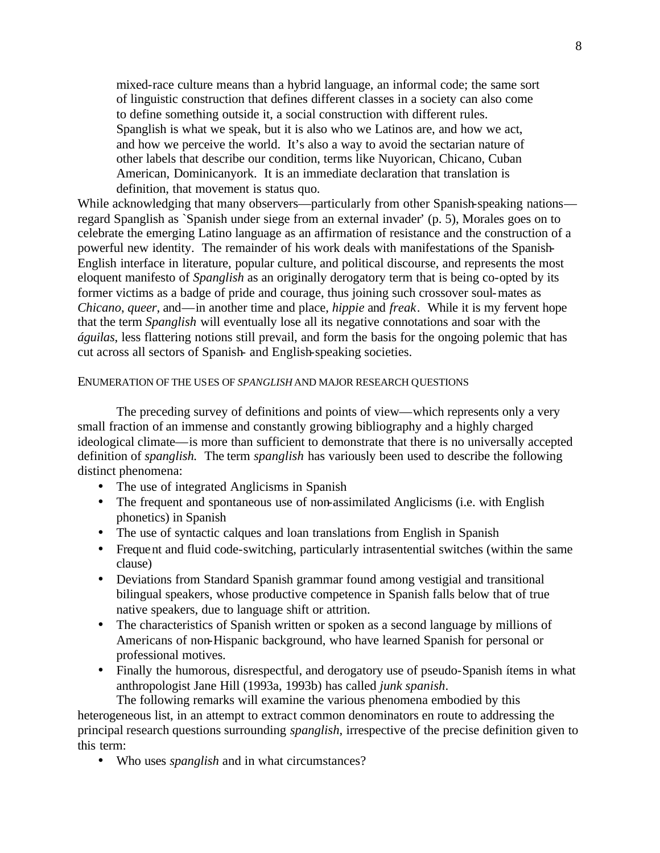mixed-race culture means than a hybrid language, an informal code; the same sort of linguistic construction that defines different classes in a society can also come to define something outside it, a social construction with different rules. Spanglish is what we speak, but it is also who we Latinos are, and how we act, and how we perceive the world. It's also a way to avoid the sectarian nature of other labels that describe our condition, terms like Nuyorican, Chicano, Cuban American, Dominicanyork. It is an immediate declaration that translation is definition, that movement is status quo.

While acknowledging that many observers—particularly from other Spanish-speaking nations regard Spanglish as `Spanish under siege from an external invader' (p. 5), Morales goes on to celebrate the emerging Latino language as an affirmation of resistance and the construction of a powerful new identity. The remainder of his work deals with manifestations of the Spanish-English interface in literature, popular culture, and political discourse, and represents the most eloquent manifesto of *Spanglish* as an originally derogatory term that is being co-opted by its former victims as a badge of pride and courage, thus joining such crossover soul-mates as *Chicano*, *queer*, and—in another time and place, *hippie* and *freak*. While it is my fervent hope that the term *Spanglish* will eventually lose all its negative connotations and soar with the *águilas*, less flattering notions still prevail, and form the basis for the ongoing polemic that has cut across all sectors of Spanish- and English-speaking societies.

# ENUMERATION OF THE USES OF *SPANGLISH* AND MAJOR RESEARCH QUESTIONS

The preceding survey of definitions and points of view—which represents only a very small fraction of an immense and constantly growing bibliography and a highly charged ideological climate—is more than sufficient to demonstrate that there is no universally accepted definition of *spanglish.* The term *spanglish* has variously been used to describe the following distinct phenomena:

- The use of integrated Anglicisms in Spanish
- The frequent and spontaneous use of non-assimilated Anglicisms (i.e. with English phonetics) in Spanish
- The use of syntactic calques and loan translations from English in Spanish
- Frequent and fluid code-switching, particularly intrasentential switches (within the same clause)
- Deviations from Standard Spanish grammar found among vestigial and transitional bilingual speakers, whose productive competence in Spanish falls below that of true native speakers, due to language shift or attrition.
- The characteristics of Spanish written or spoken as a second language by millions of Americans of non-Hispanic background, who have learned Spanish for personal or professional motives.
- Finally the humorous, disrespectful, and derogatory use of pseudo-Spanish ítems in what anthropologist Jane Hill (1993a, 1993b) has called *junk spanish*.

The following remarks will examine the various phenomena embodied by this heterogeneous list, in an attempt to extract common denominators en route to addressing the principal research questions surrounding *spanglish*, irrespective of the precise definition given to this term:

• Who uses *spanglish* and in what circumstances?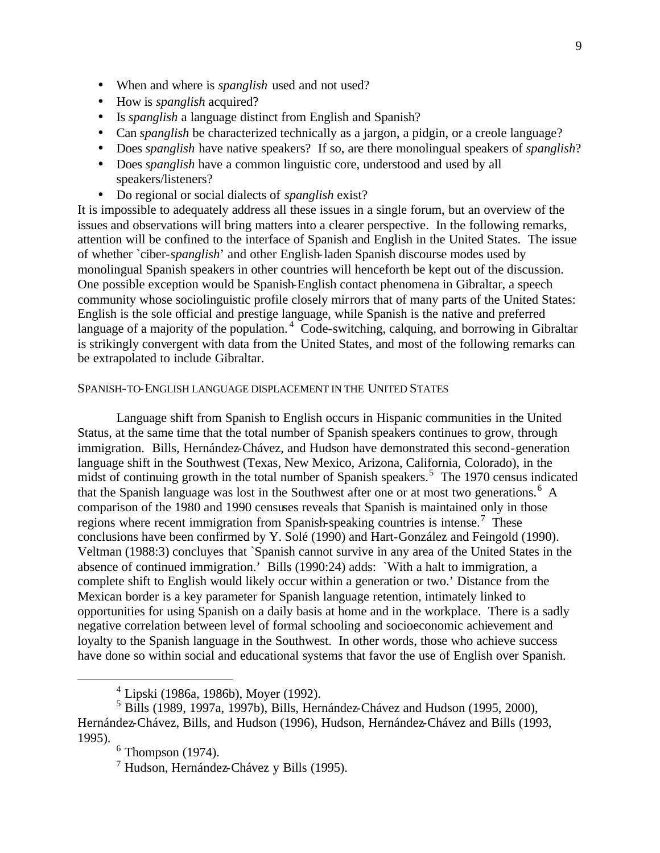- When and where is *spanglish* used and not used?
- How is *spanglish* acquired?
- Is *spanglish* a language distinct from English and Spanish?
- Can *spanglish* be characterized technically as a jargon, a pidgin, or a creole language?
- Does *spanglish* have native speakers? If so, are there monolingual speakers of *spanglish*?
- Does *spanglish* have a common linguistic core, understood and used by all speakers/listeners?
- Do regional or social dialects of *spanglish* exist?

It is impossible to adequately address all these issues in a single forum, but an overview of the issues and observations will bring matters into a clearer perspective. In the following remarks, attention will be confined to the interface of Spanish and English in the United States. The issue of whether `ciber-*spanglish*' and other English-laden Spanish discourse modes used by monolingual Spanish speakers in other countries will henceforth be kept out of the discussion. One possible exception would be Spanish-English contact phenomena in Gibraltar, a speech community whose sociolinguistic profile closely mirrors that of many parts of the United States: English is the sole official and prestige language, while Spanish is the native and preferred language of a majority of the population.<sup>4</sup> Code-switching, calquing, and borrowing in Gibraltar is strikingly convergent with data from the United States, and most of the following remarks can be extrapolated to include Gibraltar.

## SPANISH-TO-ENGLISH LANGUAGE DISPLACEMENT IN THE UNITED STATES

Language shift from Spanish to English occurs in Hispanic communities in the United Status, at the same time that the total number of Spanish speakers continues to grow, through immigration. Bills, Hernández-Chávez, and Hudson have demonstrated this second-generation language shift in the Southwest (Texas, New Mexico, Arizona, California, Colorado), in the midst of continuing growth in the total number of Spanish speakers.<sup>5</sup> The 1970 census indicated that the Spanish language was lost in the Southwest after one or at most two generations.<sup>6</sup> A comparison of the 1980 and 1990 censuses reveals that Spanish is maintained only in those regions where recent immigration from Spanish-speaking countries is intense.<sup>7</sup> These conclusions have been confirmed by Y. Solé (1990) and Hart-González and Feingold (1990). Veltman (1988:3) concluyes that `Spanish cannot survive in any area of the United States in the absence of continued immigration.' Bills (1990:24) adds: `With a halt to immigration, a complete shift to English would likely occur within a generation or two.' Distance from the Mexican border is a key parameter for Spanish language retention, intimately linked to opportunities for using Spanish on a daily basis at home and in the workplace. There is a sadly negative correlation between level of formal schooling and socioeconomic achievement and loyalty to the Spanish language in the Southwest. In other words, those who achieve success have done so within social and educational systems that favor the use of English over Spanish.

<sup>4</sup> Lipski (1986a, 1986b), Moyer (1992).

<sup>5</sup> Bills (1989, 1997a, 1997b), Bills, Hernández-Chávez and Hudson (1995, 2000), Hernández-Chávez, Bills, and Hudson (1996), Hudson, Hernández-Chávez and Bills (1993, 1995).

 $6$  Thompson (1974).

<sup>7</sup> Hudson, Hernández-Chávez y Bills (1995).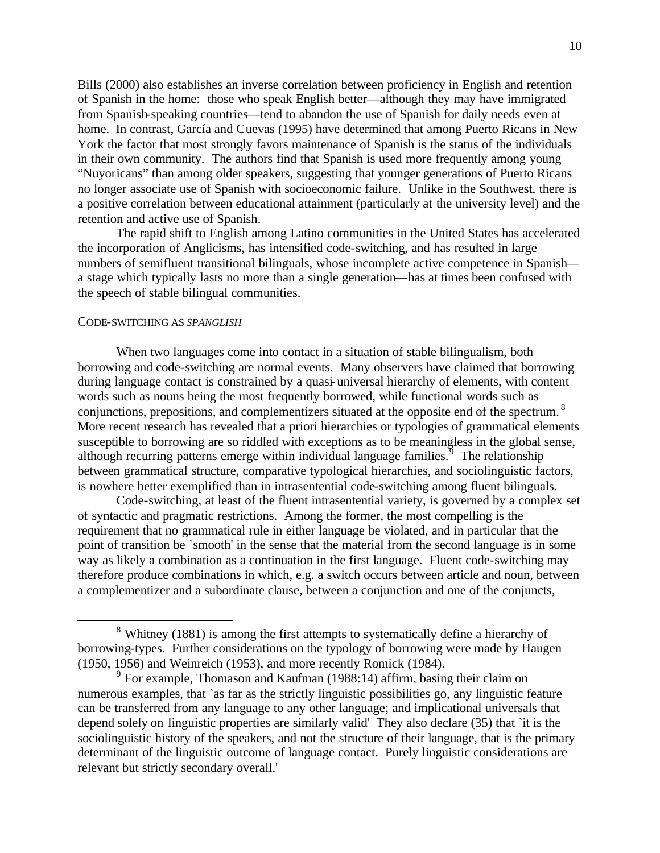Bills (2000) also establishes an inverse correlation between proficiency in English and retention of Spanish in the home: those who speak English better—although they may have immigrated from Spanish-speaking countries—tend to abandon the use of Spanish for daily needs even at home. In contrast, García and Cuevas (1995) have determined that among Puerto Ricans in New York the factor that most strongly favors maintenance of Spanish is the status of the individuals in their own community. The authors find that Spanish is used more frequently among young "Nuyoricans" than among older speakers, suggesting that younger generations of Puerto Ricans no longer associate use of Spanish with socioeconomic failure. Unlike in the Southwest, there is a positive correlation between educational attainment (particularly at the university level) and the retention and active use of Spanish.

The rapid shift to English among Latino communities in the United States has accelerated the incorporation of Anglicisms, has intensified code-switching, and has resulted in large numbers of semifluent transitional bilinguals, whose incomplete active competence in Spanish a stage which typically lasts no more than a single generation—has at times been confused with the speech of stable bilingual communities.

## CODE-SWITCHING AS *SPANGLISH*

 $\overline{a}$ 

When two languages come into contact in a situation of stable bilingualism, both borrowing and code-switching are normal events. Many observers have claimed that borrowing during language contact is constrained by a quasi-universal hierarchy of elements, with content words such as nouns being the most frequently borrowed, while functional words such as conjunctions, prepositions, and complementizers situated at the opposite end of the spectrum.  $8$ More recent research has revealed that a priori hierarchies or typologies of grammatical elements susceptible to borrowing are so riddled with exceptions as to be meaningless in the global sense, although recurring patterns emerge within individual language families.<sup>9</sup> The relationship between grammatical structure, comparative typological hierarchies, and sociolinguistic factors, is nowhere better exemplified than in intrasentential code-switching among fluent bilinguals.

Code-switching, at least of the fluent intrasentential variety, is governed by a complex set of syntactic and pragmatic restrictions. Among the former, the most compelling is the requirement that no grammatical rule in either language be violated, and in particular that the point of transition be `smooth' in the sense that the material from the second language is in some way as likely a combination as a continuation in the first language. Fluent code-switching may therefore produce combinations in which, e.g. a switch occurs between article and noun, between a complementizer and a subordinate clause, between a conjunction and one of the conjuncts,

<sup>&</sup>lt;sup>8</sup> Whitney (1881) is among the first attempts to systematically define a hierarchy of borrowing-types. Further considerations on the typology of borrowing were made by Haugen (1950, 1956) and Weinreich (1953), and more recently Romick (1984).

<sup>&</sup>lt;sup>9</sup> For example, Thomason and Kaufman (1988:14) affirm, basing their claim on numerous examples, that `as far as the strictly linguistic possibilities go, any linguistic feature can be transferred from any language to any other language; and implicational universals that depend solely on linguistic properties are similarly valid' They also declare (35) that `it is the sociolinguistic history of the speakers, and not the structure of their language, that is the primary determinant of the linguistic outcome of language contact. Purely linguistic considerations are relevant but strictly secondary overall.'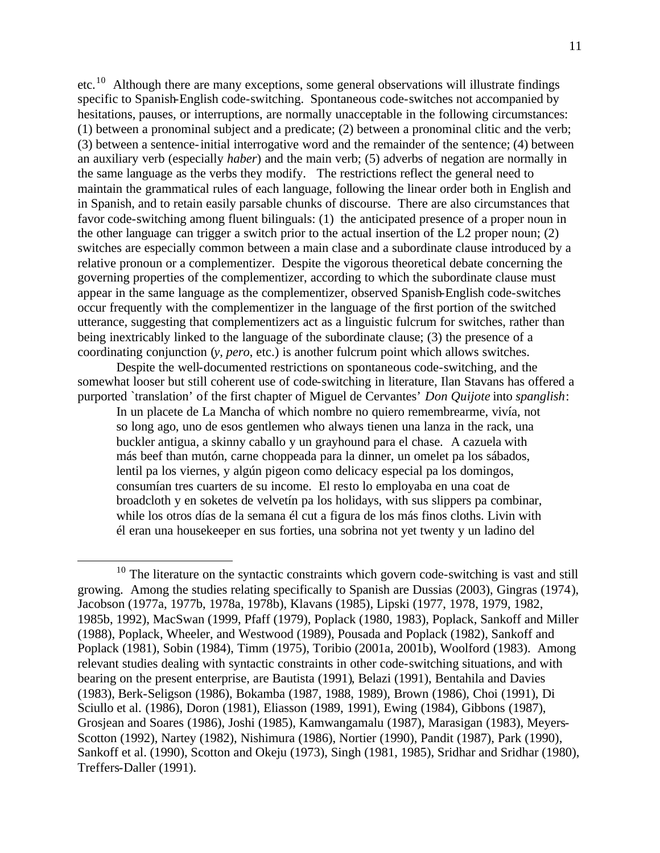etc.<sup>10</sup> Although there are many exceptions, some general observations will illustrate findings specific to Spanish-English code-switching. Spontaneous code-switches not accompanied by hesitations, pauses, or interruptions, are normally unacceptable in the following circumstances: (1) between a pronominal subject and a predicate; (2) between a pronominal clitic and the verb; (3) between a sentence-initial interrogative word and the remainder of the sentence; (4) between an auxiliary verb (especially *haber*) and the main verb; (5) adverbs of negation are normally in the same language as the verbs they modify. The restrictions reflect the general need to maintain the grammatical rules of each language, following the linear order both in English and in Spanish, and to retain easily parsable chunks of discourse. There are also circumstances that favor code-switching among fluent bilinguals: (1) the anticipated presence of a proper noun in the other language can trigger a switch prior to the actual insertion of the L2 proper noun; (2) switches are especially common between a main clase and a subordinate clause introduced by a relative pronoun or a complementizer. Despite the vigorous theoretical debate concerning the governing properties of the complementizer, according to which the subordinate clause must appear in the same language as the complementizer, observed Spanish-English code-switches occur frequently with the complementizer in the language of the first portion of the switched utterance, suggesting that complementizers act as a linguistic fulcrum for switches, rather than being inextricably linked to the language of the subordinate clause; (3) the presence of a coordinating conjunction (*y, pero*, etc.) is another fulcrum point which allows switches.

Despite the well-documented restrictions on spontaneous code-switching, and the somewhat looser but still coherent use of code-switching in literature, Ilan Stavans has offered a purported `translation' of the first chapter of Miguel de Cervantes' *Don Quijote* into *spanglish*:

In un placete de La Mancha of which nombre no quiero remembrearme, vivía, not so long ago, uno de esos gentlemen who always tienen una lanza in the rack, una buckler antigua, a skinny caballo y un grayhound para el chase. A cazuela with más beef than mutón, carne choppeada para la dinner, un omelet pa los sábados, lentil pa los viernes, y algún pigeon como delicacy especial pa los domingos, consumían tres cuarters de su income. El resto lo employaba en una coat de broadcloth y en soketes de velvetín pa los holidays, with sus slippers pa combinar, while los otros días de la semana él cut a figura de los más finos cloths. Livin with él eran una housekeeper en sus forties, una sobrina not yet twenty y un ladino del

 $10$  The literature on the syntactic constraints which govern code-switching is vast and still growing. Among the studies relating specifically to Spanish are Dussias (2003), Gingras (1974), Jacobson (1977a, 1977b, 1978a, 1978b), Klavans (1985), Lipski (1977, 1978, 1979, 1982, 1985b, 1992), MacSwan (1999, Pfaff (1979), Poplack (1980, 1983), Poplack, Sankoff and Miller (1988), Poplack, Wheeler, and Westwood (1989), Pousada and Poplack (1982), Sankoff and Poplack (1981), Sobin (1984), Timm (1975), Toribio (2001a, 2001b), Woolford (1983). Among relevant studies dealing with syntactic constraints in other code-switching situations, and with bearing on the present enterprise, are Bautista (1991), Belazi (1991), Bentahila and Davies (1983), Berk-Seligson (1986), Bokamba (1987, 1988, 1989), Brown (1986), Choi (1991), Di Sciullo et al. (1986), Doron (1981), Eliasson (1989, 1991), Ewing (1984), Gibbons (1987), Grosjean and Soares (1986), Joshi (1985), Kamwangamalu (1987), Marasigan (1983), Meyers-Scotton (1992), Nartey (1982), Nishimura (1986), Nortier (1990), Pandit (1987), Park (1990), Sankoff et al. (1990), Scotton and Okeju (1973), Singh (1981, 1985), Sridhar and Sridhar (1980), Treffers-Daller (1991).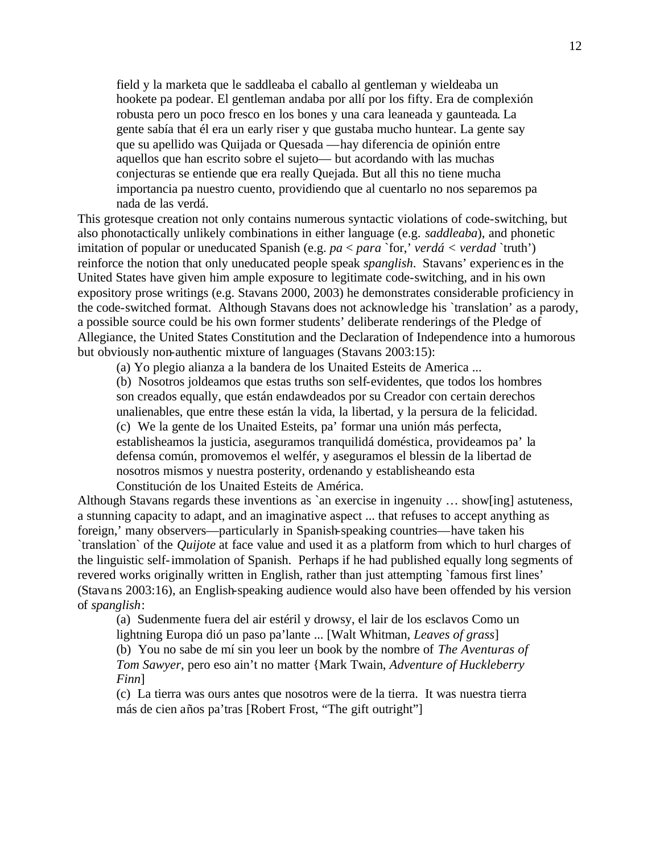field y la marketa que le saddleaba el caballo al gentleman y wieldeaba un hookete pa podear. El gentleman andaba por allí por los fifty. Era de complexión robusta pero un poco fresco en los bones y una cara leaneada y gaunteada. La gente sabía that él era un early riser y que gustaba mucho huntear. La gente say que su apellido was Quijada or Quesada —hay diferencia de opinión entre aquellos que han escrito sobre el sujeto— but acordando with las muchas conjecturas se entiende que era really Quejada. But all this no tiene mucha importancia pa nuestro cuento, providiendo que al cuentarlo no nos separemos pa nada de las verdá.

This grotesque creation not only contains numerous syntactic violations of code-switching, but also phonotactically unlikely combinations in either language (e.g. *saddleaba*), and phonetic imitation of popular or uneducated Spanish (e.g. *pa* < *para* `for,' *verdá < verdad* `truth') reinforce the notion that only uneducated people speak *spanglish*. Stavans' experienc es in the United States have given him ample exposure to legitimate code-switching, and in his own expository prose writings (e.g. Stavans 2000, 2003) he demonstrates considerable proficiency in the code-switched format. Although Stavans does not acknowledge his `translation' as a parody, a possible source could be his own former students' deliberate renderings of the Pledge of Allegiance, the United States Constitution and the Declaration of Independence into a humorous but obviously non-authentic mixture of languages (Stavans 2003:15):

(a) Yo plegio alianza a la bandera de los Unaited Esteits de America ...

(b) Nosotros joldeamos que estas truths son self-evidentes, que todos los hombres son creados equally, que están endawdeados por su Creador con certain derechos unalienables, que entre these están la vida, la libertad, y la persura de la felicidad. (c) We la gente de los Unaited Esteits, pa' formar una unión más perfecta, establisheamos la justicia, aseguramos tranquilidá doméstica, provideamos pa' la defensa común, promovemos el welfér, y aseguramos el blessin de la libertad de nosotros mismos y nuestra posterity, ordenando y establisheando esta Constitución de los Unaited Esteits de América.

Although Stavans regards these inventions as `an exercise in ingenuity … show[ing] astuteness, a stunning capacity to adapt, and an imaginative aspect ... that refuses to accept anything as foreign,' many observers—particularly in Spanish-speaking countries—have taken his `translation` of the *Quijote* at face value and used it as a platform from which to hurl charges of the linguistic self-immolation of Spanish. Perhaps if he had published equally long segments of revered works originally written in English, rather than just attempting `famous first lines' (Stavans 2003:16), an English-speaking audience would also have been offended by his version of *spanglish*:

(a) Sudenmente fuera del air estéril y drowsy, el lair de los esclavos Como un lightning Europa dió un paso pa'lante ... [Walt Whitman, *Leaves of grass*]

(b) You no sabe de mí sin you leer un book by the nombre of *The Aventuras of Tom Sawyer*, pero eso ain't no matter {Mark Twain, *Adventure of Huckleberry Finn*]

(c) La tierra was ours antes que nosotros were de la tierra. It was nuestra tierra más de cien años pa'tras [Robert Frost, "The gift outright"]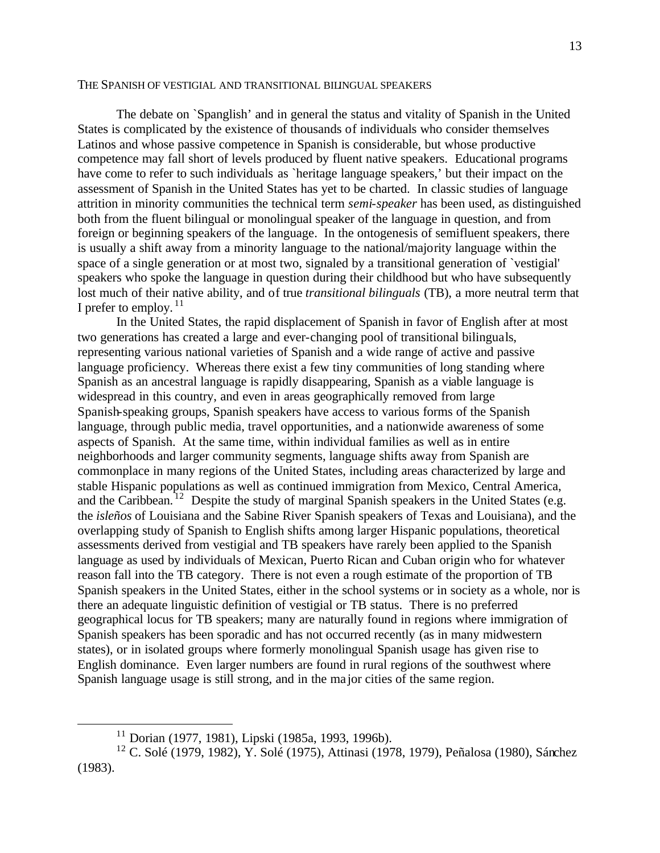#### THE SPANISH OF VESTIGIAL AND TRANSITIONAL BILINGUAL SPEAKERS

The debate on `Spanglish' and in general the status and vitality of Spanish in the United States is complicated by the existence of thousands of individuals who consider themselves Latinos and whose passive competence in Spanish is considerable, but whose productive competence may fall short of levels produced by fluent native speakers. Educational programs have come to refer to such individuals as `heritage language speakers,' but their impact on the assessment of Spanish in the United States has yet to be charted. In classic studies of language attrition in minority communities the technical term *semi-speaker* has been used, as distinguished both from the fluent bilingual or monolingual speaker of the language in question, and from foreign or beginning speakers of the language. In the ontogenesis of semifluent speakers, there is usually a shift away from a minority language to the national/majority language within the space of a single generation or at most two, signaled by a transitional generation of `vestigial' speakers who spoke the language in question during their childhood but who have subsequently lost much of their native ability, and of true *transitional bilinguals* (TB), a more neutral term that I prefer to employ.  $^{11}$ 

In the United States, the rapid displacement of Spanish in favor of English after at most two generations has created a large and ever-changing pool of transitional bilinguals, representing various national varieties of Spanish and a wide range of active and passive language proficiency. Whereas there exist a few tiny communities of long standing where Spanish as an ancestral language is rapidly disappearing, Spanish as a viable language is widespread in this country, and even in areas geographically removed from large Spanish-speaking groups, Spanish speakers have access to various forms of the Spanish language, through public media, travel opportunities, and a nationwide awareness of some aspects of Spanish. At the same time, within individual families as well as in entire neighborhoods and larger community segments, language shifts away from Spanish are commonplace in many regions of the United States, including areas characterized by large and stable Hispanic populations as well as continued immigration from Mexico, Central America, and the Caribbean.  $^{12}$  Despite the study of marginal Spanish speakers in the United States (e.g. the *isleños* of Louisiana and the Sabine River Spanish speakers of Texas and Louisiana), and the overlapping study of Spanish to English shifts among larger Hispanic populations, theoretical assessments derived from vestigial and TB speakers have rarely been applied to the Spanish language as used by individuals of Mexican, Puerto Rican and Cuban origin who for whatever reason fall into the TB category. There is not even a rough estimate of the proportion of TB Spanish speakers in the United States, either in the school systems or in society as a whole, nor is there an adequate linguistic definition of vestigial or TB status. There is no preferred geographical locus for TB speakers; many are naturally found in regions where immigration of Spanish speakers has been sporadic and has not occurred recently (as in many midwestern states), or in isolated groups where formerly monolingual Spanish usage has given rise to English dominance. Even larger numbers are found in rural regions of the southwest where Spanish language usage is still strong, and in the ma jor cities of the same region.

<sup>11</sup> Dorian (1977, 1981), Lipski (1985a, 1993, 1996b).

<sup>12</sup> C. Solé (1979, 1982), Y. Solé (1975), Attinasi (1978, 1979), Peñalosa (1980), Sánchez (1983).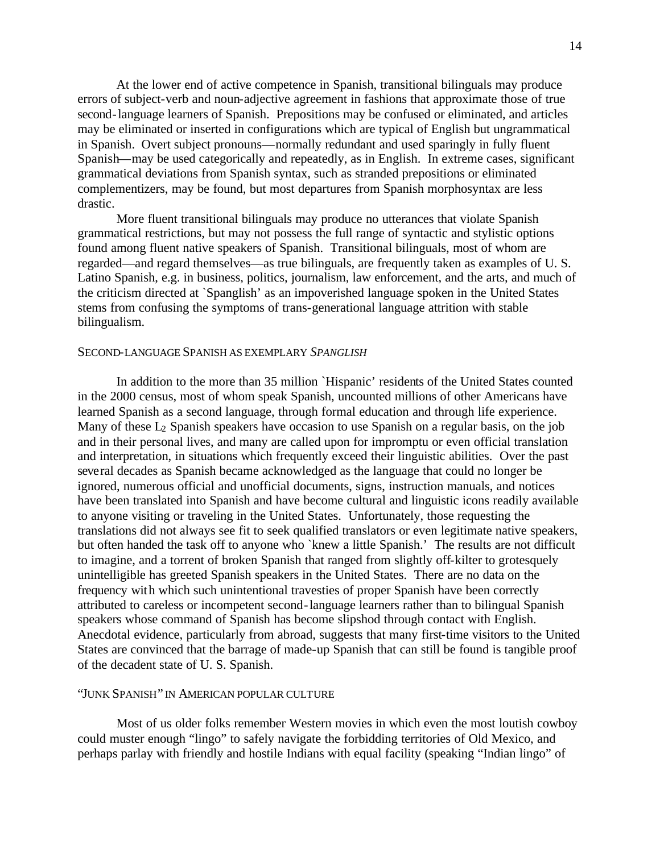At the lower end of active competence in Spanish, transitional bilinguals may produce errors of subject-verb and noun-adjective agreement in fashions that approximate those of true second-language learners of Spanish. Prepositions may be confused or eliminated, and articles may be eliminated or inserted in configurations which are typical of English but ungrammatical in Spanish. Overt subject pronouns—normally redundant and used sparingly in fully fluent Spanish—may be used categorically and repeatedly, as in English. In extreme cases, significant grammatical deviations from Spanish syntax, such as stranded prepositions or eliminated complementizers, may be found, but most departures from Spanish morphosyntax are less drastic.

More fluent transitional bilinguals may produce no utterances that violate Spanish grammatical restrictions, but may not possess the full range of syntactic and stylistic options found among fluent native speakers of Spanish. Transitional bilinguals, most of whom are regarded—and regard themselves—as true bilinguals, are frequently taken as examples of U. S. Latino Spanish, e.g. in business, politics, journalism, law enforcement, and the arts, and much of the criticism directed at `Spanglish' as an impoverished language spoken in the United States stems from confusing the symptoms of trans-generational language attrition with stable bilingualism.

## SECOND-LANGUAGE SPANISH AS EXEMPLARY *SPANGLISH*

In addition to the more than 35 million `Hispanic' residents of the United States counted in the 2000 census, most of whom speak Spanish, uncounted millions of other Americans have learned Spanish as a second language, through formal education and through life experience. Many of these  $L_2$  Spanish speakers have occasion to use Spanish on a regular basis, on the job and in their personal lives, and many are called upon for impromptu or even official translation and interpretation, in situations which frequently exceed their linguistic abilities. Over the past several decades as Spanish became acknowledged as the language that could no longer be ignored, numerous official and unofficial documents, signs, instruction manuals, and notices have been translated into Spanish and have become cultural and linguistic icons readily available to anyone visiting or traveling in the United States. Unfortunately, those requesting the translations did not always see fit to seek qualified translators or even legitimate native speakers, but often handed the task off to anyone who `knew a little Spanish.' The results are not difficult to imagine, and a torrent of broken Spanish that ranged from slightly off-kilter to grotesquely unintelligible has greeted Spanish speakers in the United States. There are no data on the frequency with which such unintentional travesties of proper Spanish have been correctly attributed to careless or incompetent second-language learners rather than to bilingual Spanish speakers whose command of Spanish has become slipshod through contact with English. Anecdotal evidence, particularly from abroad, suggests that many first-time visitors to the United States are convinced that the barrage of made-up Spanish that can still be found is tangible proof of the decadent state of U. S. Spanish.

## "JUNK SPANISH" IN AMERICAN POPULAR CULTURE

Most of us older folks remember Western movies in which even the most loutish cowboy could muster enough "lingo" to safely navigate the forbidding territories of Old Mexico, and perhaps parlay with friendly and hostile Indians with equal facility (speaking "Indian lingo" of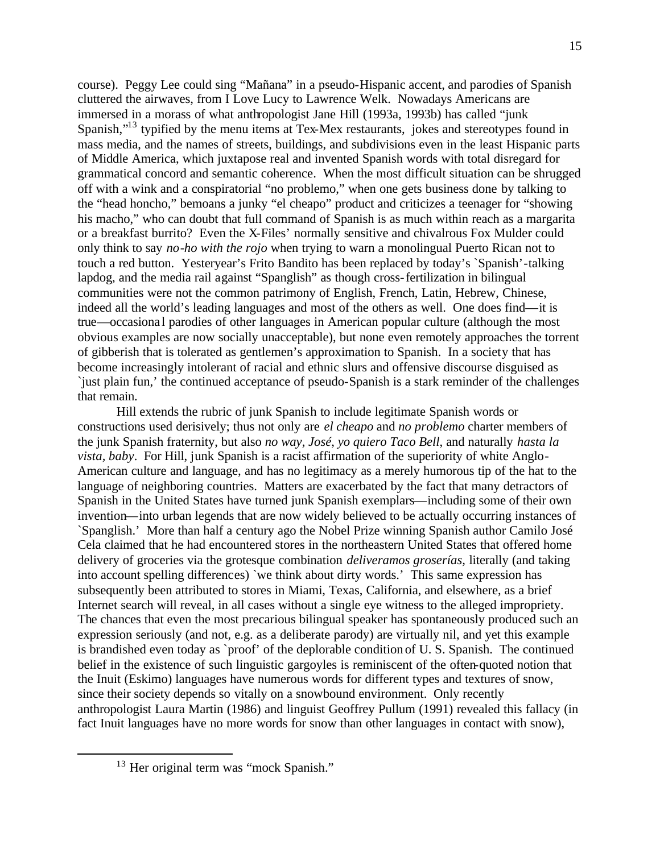course). Peggy Lee could sing "Mañana" in a pseudo-Hispanic accent, and parodies of Spanish cluttered the airwaves, from I Love Lucy to Lawrence Welk. Nowadays Americans are immersed in a morass of what anthropologist Jane Hill (1993a, 1993b) has called "junk Spanish,"<sup>13</sup> typified by the menu items at Tex-Mex restaurants, jokes and stereotypes found in mass media, and the names of streets, buildings, and subdivisions even in the least Hispanic parts of Middle America, which juxtapose real and invented Spanish words with total disregard for grammatical concord and semantic coherence. When the most difficult situation can be shrugged off with a wink and a conspiratorial "no problemo," when one gets business done by talking to the "head honcho," bemoans a junky "el cheapo" product and criticizes a teenager for "showing his macho," who can doubt that full command of Spanish is as much within reach as a margarita or a breakfast burrito? Even the X-Files' normally sensitive and chivalrous Fox Mulder could only think to say *no-ho with the rojo* when trying to warn a monolingual Puerto Rican not to touch a red button. Yesteryear's Frito Bandito has been replaced by today's `Spanish'-talking lapdog, and the media rail against "Spanglish" as though cross-fertilization in bilingual communities were not the common patrimony of English, French, Latin, Hebrew, Chinese, indeed all the world's leading languages and most of the others as well. One does find—it is true—occasiona l parodies of other languages in American popular culture (although the most obvious examples are now socially unacceptable), but none even remotely approaches the torrent of gibberish that is tolerated as gentlemen's approximation to Spanish. In a society that has become increasingly intolerant of racial and ethnic slurs and offensive discourse disguised as `just plain fun,' the continued acceptance of pseudo-Spanish is a stark reminder of the challenges that remain.

Hill extends the rubric of junk Spanish to include legitimate Spanish words or constructions used derisively; thus not only are *el cheapo* and *no problemo* charter members of the junk Spanish fraternity, but also *no way, José*, *yo quiero Taco Bell*, and naturally *hasta la vista, baby*. For Hill, junk Spanish is a racist affirmation of the superiority of white Anglo-American culture and language, and has no legitimacy as a merely humorous tip of the hat to the language of neighboring countries. Matters are exacerbated by the fact that many detractors of Spanish in the United States have turned junk Spanish exemplars—including some of their own invention—into urban legends that are now widely believed to be actually occurring instances of `Spanglish.' More than half a century ago the Nobel Prize winning Spanish author Camilo José Cela claimed that he had encountered stores in the northeastern United States that offered home delivery of groceries via the grotesque combination *deliveramos groserías,* literally (and taking into account spelling differences) `we think about dirty words.' This same expression has subsequently been attributed to stores in Miami, Texas, California, and elsewhere, as a brief Internet search will reveal, in all cases without a single eye witness to the alleged impropriety. The chances that even the most precarious bilingual speaker has spontaneously produced such an expression seriously (and not, e.g. as a deliberate parody) are virtually nil, and yet this example is brandished even today as `proof' of the deplorable condition of U. S. Spanish. The continued belief in the existence of such linguistic gargoyles is reminiscent of the often-quoted notion that the Inuit (Eskimo) languages have numerous words for different types and textures of snow, since their society depends so vitally on a snowbound environment. Only recently anthropologist Laura Martin (1986) and linguist Geoffrey Pullum (1991) revealed this fallacy (in fact Inuit languages have no more words for snow than other languages in contact with snow),

<sup>&</sup>lt;sup>13</sup> Her original term was "mock Spanish."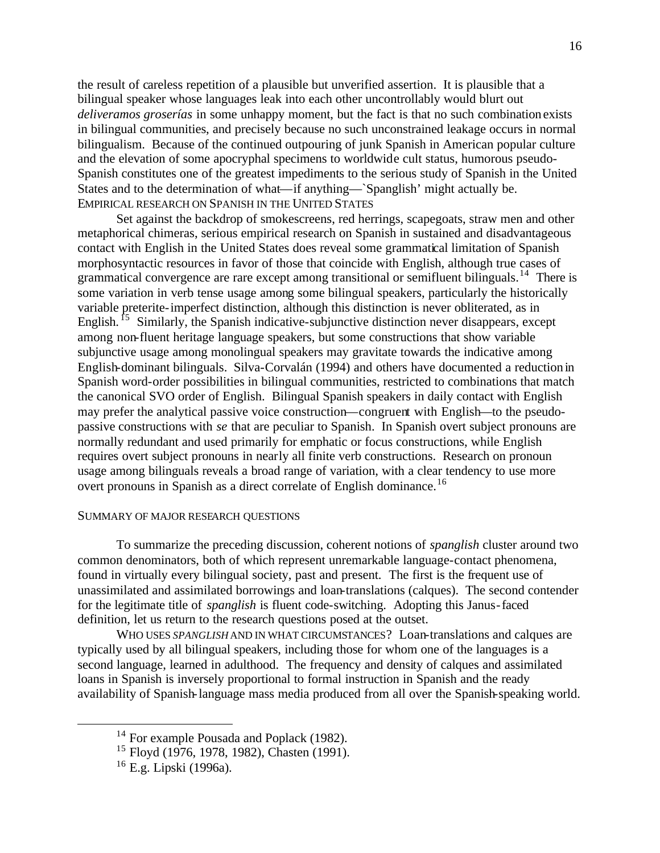the result of careless repetition of a plausible but unverified assertion. It is plausible that a bilingual speaker whose languages leak into each other uncontrollably would blurt out *deliveramos groserías* in some unhappy moment, but the fact is that no such combination exists in bilingual communities, and precisely because no such unconstrained leakage occurs in normal bilingualism. Because of the continued outpouring of junk Spanish in American popular culture and the elevation of some apocryphal specimens to worldwide cult status, humorous pseudo-Spanish constitutes one of the greatest impediments to the serious study of Spanish in the United States and to the determination of what—if anything—`Spanglish' might actually be. EMPIRICAL RESEARCH ON SPANISH IN THE UNITED STATES

Set against the backdrop of smokescreens, red herrings, scapegoats, straw men and other metaphorical chimeras, serious empirical research on Spanish in sustained and disadvantageous contact with English in the United States does reveal some grammatical limitation of Spanish morphosyntactic resources in favor of those that coincide with English, although true cases of grammatical convergence are rare except among transitional or semifluent bilinguals.<sup>14</sup> There is some variation in verb tense usage among some bilingual speakers, particularly the historically variable preterite-imperfect distinction, although this distinction is never obliterated, as in English.<sup>15</sup> Similarly, the Spanish indicative-subjunctive distinction never disappears, except among non-fluent heritage language speakers, but some constructions that show variable subjunctive usage among monolingual speakers may gravitate towards the indicative among English-dominant bilinguals. Silva-Corvalán (1994) and others have documented a reduction in Spanish word-order possibilities in bilingual communities, restricted to combinations that match the canonical SVO order of English. Bilingual Spanish speakers in daily contact with English may prefer the analytical passive voice construction—congruent with English—to the pseudopassive constructions with *se* that are peculiar to Spanish. In Spanish overt subject pronouns are normally redundant and used primarily for emphatic or focus constructions, while English requires overt subject pronouns in nearly all finite verb constructions. Research on pronoun usage among bilinguals reveals a broad range of variation, with a clear tendency to use more overt pronouns in Spanish as a direct correlate of English dominance.<sup>16</sup>

## SUMMARY OF MAJOR RESEARCH QUESTIONS

To summarize the preceding discussion, coherent notions of *spanglish* cluster around two common denominators, both of which represent unremarkable language-contact phenomena, found in virtually every bilingual society, past and present. The first is the frequent use of unassimilated and assimilated borrowings and loan-translations (calques). The second contender for the legitimate title of *spanglish* is fluent code-switching. Adopting this Janus-faced definition, let us return to the research questions posed at the outset.

WHO USES *SPANGLISH* AND IN WHAT CIRCUMSTANCES? Loan-translations and calques are typically used by all bilingual speakers, including those for whom one of the languages is a second language, learned in adulthood. The frequency and density of calques and assimilated loans in Spanish is inversely proportional to formal instruction in Spanish and the ready availability of Spanish-language mass media produced from all over the Spanish-speaking world.

<sup>&</sup>lt;sup>14</sup> For example Pousada and Poplack (1982).

<sup>15</sup> Floyd (1976, 1978, 1982), Chasten (1991).

 $^{16}$  E.g. Lipski (1996a).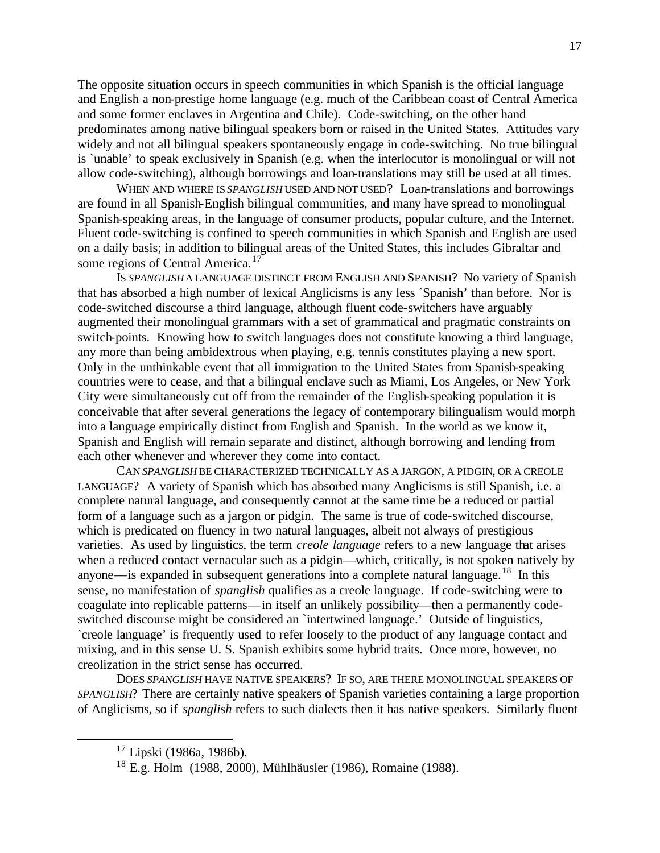The opposite situation occurs in speech communities in which Spanish is the official language and English a non-prestige home language (e.g. much of the Caribbean coast of Central America and some former enclaves in Argentina and Chile). Code-switching, on the other hand predominates among native bilingual speakers born or raised in the United States. Attitudes vary widely and not all bilingual speakers spontaneously engage in code-switching. No true bilingual is `unable' to speak exclusively in Spanish (e.g. when the interlocutor is monolingual or will not allow code-switching), although borrowings and loan-translations may still be used at all times.

WHEN AND WHERE IS *SPANGLISH* USED AND NOT USED? Loan-translations and borrowings are found in all Spanish-English bilingual communities, and many have spread to monolingual Spanish-speaking areas, in the language of consumer products, popular culture, and the Internet. Fluent code-switching is confined to speech communities in which Spanish and English are used on a daily basis; in addition to bilingual areas of the United States, this includes Gibraltar and some regions of Central America.<sup>17</sup>

IS *SPANGLISH* A LANGUAGE DISTINCT FROM ENGLISH AND SPANISH? No variety of Spanish that has absorbed a high number of lexical Anglicisms is any less `Spanish' than before. Nor is code-switched discourse a third language, although fluent code-switchers have arguably augmented their monolingual grammars with a set of grammatical and pragmatic constraints on switch-points. Knowing how to switch languages does not constitute knowing a third language, any more than being ambidextrous when playing, e.g. tennis constitutes playing a new sport. Only in the unthinkable event that all immigration to the United States from Spanish-speaking countries were to cease, and that a bilingual enclave such as Miami, Los Angeles, or New York City were simultaneously cut off from the remainder of the English-speaking population it is conceivable that after several generations the legacy of contemporary bilingualism would morph into a language empirically distinct from English and Spanish. In the world as we know it, Spanish and English will remain separate and distinct, although borrowing and lending from each other whenever and wherever they come into contact.

CAN *SPANGLISH* BE CHARACTERIZED TECHNICALLY AS A JARGON, A PIDGIN, OR A CREOLE LANGUAGE? A variety of Spanish which has absorbed many Anglicisms is still Spanish, i.e. a complete natural language, and consequently cannot at the same time be a reduced or partial form of a language such as a jargon or pidgin. The same is true of code-switched discourse, which is predicated on fluency in two natural languages, albeit not always of prestigious varieties. As used by linguistics, the term *creole language* refers to a new language that arises when a reduced contact vernacular such as a pidgin—which, critically, is not spoken natively by anyone—is expanded in subsequent generations into a complete natural language.<sup>18</sup> In this sense, no manifestation of *spanglish* qualifies as a creole language. If code-switching were to coagulate into replicable patterns—in itself an unlikely possibility—then a permanently codeswitched discourse might be considered an `intertwined language.' Outside of linguistics, `creole language' is frequently used to refer loosely to the product of any language contact and mixing, and in this sense U. S. Spanish exhibits some hybrid traits. Once more, however, no creolization in the strict sense has occurred.

DOES *SPANGLISH* HAVE NATIVE SPEAKERS? IF SO, ARE THERE MONOLINGUAL SPEAKERS OF *SPANGLISH*? There are certainly native speakers of Spanish varieties containing a large proportion of Anglicisms, so if *spanglish* refers to such dialects then it has native speakers. Similarly fluent

<sup>17</sup> Lipski (1986a, 1986b).

<sup>18</sup> E.g. Holm (1988, 2000), Mühlhäusler (1986), Romaine (1988).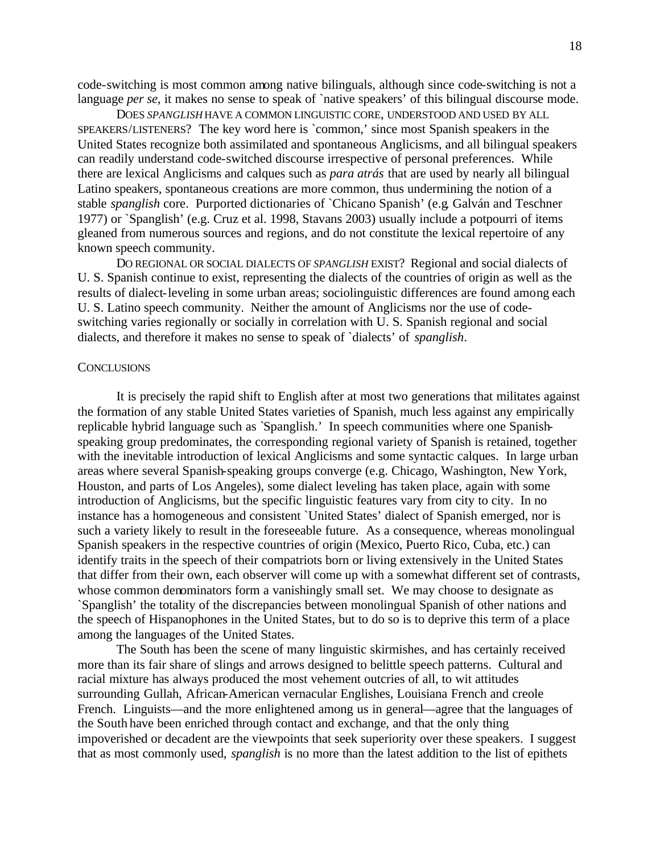code-switching is most common among native bilinguals, although since code-switching is not a language *per se*, it makes no sense to speak of `native speakers' of this bilingual discourse mode.

DOES *SPANGLISH* HAVE A COMMON LINGUISTIC CORE, UNDERSTOOD AND USED BY ALL SPEAKERS/LISTENERS? The key word here is `common,' since most Spanish speakers in the United States recognize both assimilated and spontaneous Anglicisms, and all bilingual speakers can readily understand code-switched discourse irrespective of personal preferences. While there are lexical Anglicisms and calques such as *para atrás* that are used by nearly all bilingual Latino speakers, spontaneous creations are more common, thus undermining the notion of a stable *spanglish* core. Purported dictionaries of `Chicano Spanish' (e.g. Galván and Teschner 1977) or `Spanglish' (e.g. Cruz et al. 1998, Stavans 2003) usually include a potpourri of items gleaned from numerous sources and regions, and do not constitute the lexical repertoire of any known speech community.

DO REGIONAL OR SOCIAL DIALECTS OF *SPANGLISH* EXIST? Regional and social dialects of U. S. Spanish continue to exist, representing the dialects of the countries of origin as well as the results of dialect-leveling in some urban areas; sociolinguistic differences are found among each U. S. Latino speech community. Neither the amount of Anglicisms nor the use of codeswitching varies regionally or socially in correlation with U. S. Spanish regional and social dialects, and therefore it makes no sense to speak of `dialects' of *spanglish*.

## **CONCLUSIONS**

It is precisely the rapid shift to English after at most two generations that militates against the formation of any stable United States varieties of Spanish, much less against any empirically replicable hybrid language such as `Spanglish.' In speech communities where one Spanishspeaking group predominates, the corresponding regional variety of Spanish is retained, together with the inevitable introduction of lexical Anglicisms and some syntactic calques. In large urban areas where several Spanish-speaking groups converge (e.g. Chicago, Washington, New York, Houston, and parts of Los Angeles), some dialect leveling has taken place, again with some introduction of Anglicisms, but the specific linguistic features vary from city to city. In no instance has a homogeneous and consistent `United States' dialect of Spanish emerged, nor is such a variety likely to result in the foreseeable future. As a consequence, whereas monolingual Spanish speakers in the respective countries of origin (Mexico, Puerto Rico, Cuba, etc.) can identify traits in the speech of their compatriots born or living extensively in the United States that differ from their own, each observer will come up with a somewhat different set of contrasts, whose common denominators form a vanishingly small set. We may choose to designate as `Spanglish' the totality of the discrepancies between monolingual Spanish of other nations and the speech of Hispanophones in the United States, but to do so is to deprive this term of a place among the languages of the United States.

The South has been the scene of many linguistic skirmishes, and has certainly received more than its fair share of slings and arrows designed to belittle speech patterns. Cultural and racial mixture has always produced the most vehement outcries of all, to wit attitudes surrounding Gullah, African-American vernacular Englishes, Louisiana French and creole French. Linguists—and the more enlightened among us in general—agree that the languages of the South have been enriched through contact and exchange, and that the only thing impoverished or decadent are the viewpoints that seek superiority over these speakers. I suggest that as most commonly used, *spanglish* is no more than the latest addition to the list of epithets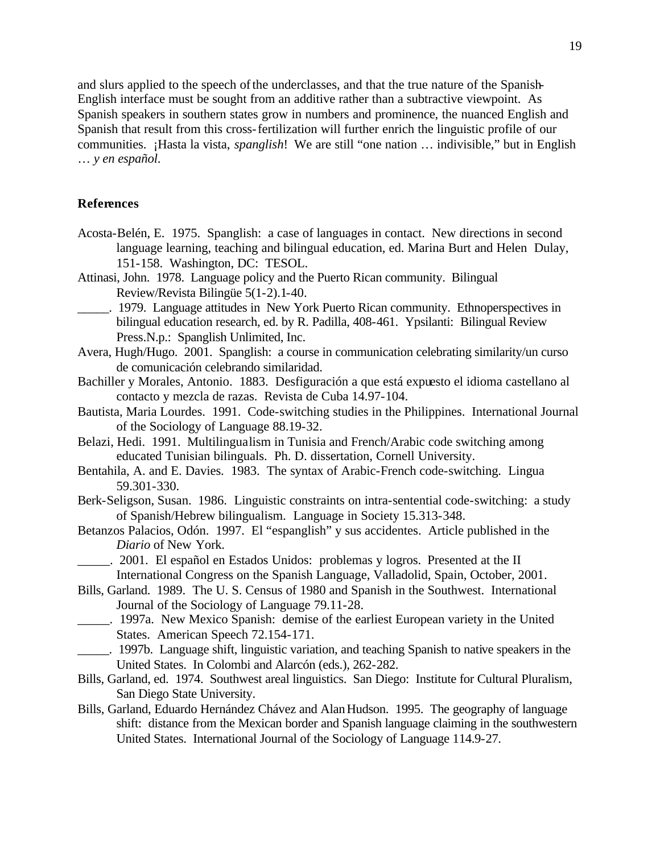and slurs applied to the speech of the underclasses, and that the true nature of the Spanish-English interface must be sought from an additive rather than a subtractive viewpoint. As Spanish speakers in southern states grow in numbers and prominence, the nuanced English and Spanish that result from this cross-fertilization will further enrich the linguistic profile of our communities. ¡Hasta la vista, *spanglish*! We are still "one nation … indivisible," but in English … *y en español*.

# **References**

- Acosta-Belén, E. 1975. Spanglish: a case of languages in contact. New directions in second language learning, teaching and bilingual education, ed. Marina Burt and Helen Dulay, 151-158. Washington, DC: TESOL.
- Attinasi, John. 1978. Language policy and the Puerto Rican community. Bilingual Review/Revista Bilingüe 5(1-2).1-40.
- \_\_\_\_\_. 1979. Language attitudes in New York Puerto Rican community. Ethnoperspectives in bilingual education research, ed. by R. Padilla, 408-461. Ypsilanti: Bilingual Review Press.N.p.: Spanglish Unlimited, Inc.
- Avera, Hugh/Hugo. 2001. Spanglish: a course in communication celebrating similarity/un curso de comunicación celebrando similaridad.
- Bachiller y Morales, Antonio. 1883. Desfiguración a que está expuesto el idioma castellano al contacto y mezcla de razas. Revista de Cuba 14.97-104.
- Bautista, Maria Lourdes. 1991. Code-switching studies in the Philippines. International Journal of the Sociology of Language 88.19-32.
- Belazi, Hedi. 1991. Multilingualism in Tunisia and French/Arabic code switching among educated Tunisian bilinguals. Ph. D. dissertation, Cornell University.
- Bentahila, A. and E. Davies. 1983. The syntax of Arabic-French code-switching. Lingua 59.301-330.
- Berk-Seligson, Susan. 1986. Linguistic constraints on intra-sentential code-switching: a study of Spanish/Hebrew bilingualism. Language in Society 15.313-348.
- Betanzos Palacios, Odón. 1997. El "espanglish" y sus accidentes. Article published in the *Diario* of New York.
- \_\_\_\_\_. 2001. El español en Estados Unidos: problemas y logros. Presented at the II International Congress on the Spanish Language, Valladolid, Spain, October, 2001.
- Bills, Garland. 1989. The U. S. Census of 1980 and Spanish in the Southwest. International Journal of the Sociology of Language 79.11-28.
- \_\_\_\_\_. 1997a. New Mexico Spanish: demise of the earliest European variety in the United States. American Speech 72.154-171.
- \_\_\_\_\_. 1997b. Language shift, linguistic variation, and teaching Spanish to native speakers in the United States. In Colombi and Alarcón (eds.), 262-282.
- Bills, Garland, ed. 1974. Southwest areal linguistics. San Diego: Institute for Cultural Pluralism, San Diego State University.
- Bills, Garland, Eduardo Hernández Chávez and Alan Hudson. 1995. The geography of language shift: distance from the Mexican border and Spanish language claiming in the southwestern United States. International Journal of the Sociology of Language 114.9-27.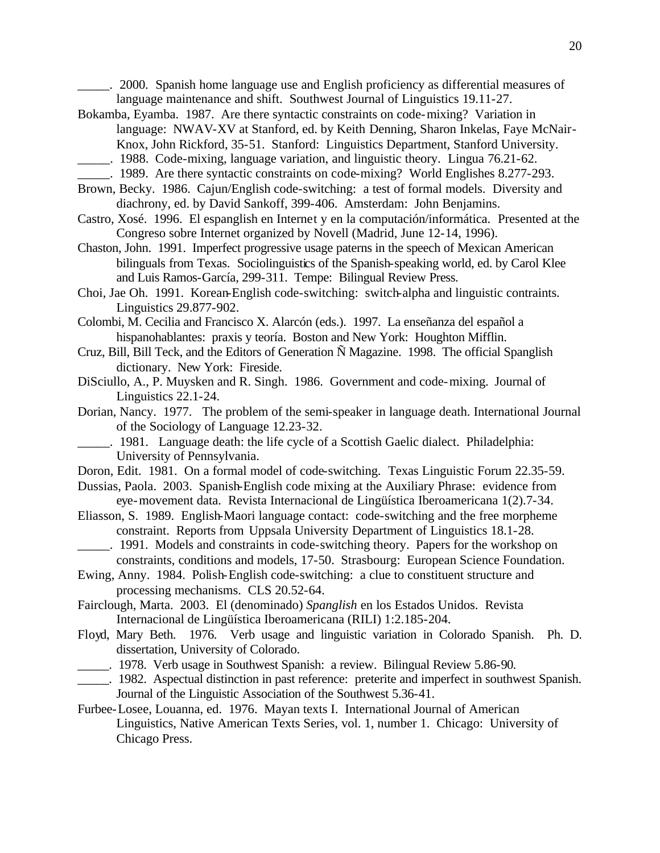\_\_\_\_\_. 2000. Spanish home language use and English proficiency as differential measures of language maintenance and shift. Southwest Journal of Linguistics 19.11-27.

- Bokamba, Eyamba. 1987. Are there syntactic constraints on code-mixing? Variation in language: NWAV-XV at Stanford, ed. by Keith Denning, Sharon Inkelas, Faye McNair-Knox, John Rickford, 35-51. Stanford: Linguistics Department, Stanford University. \_\_\_\_\_. 1988. Code-mixing, language variation, and linguistic theory. Lingua 76.21-62.
- \_\_\_\_\_. 1989. Are there syntactic constraints on code-mixing? World Englishes 8.277-293.
- Brown, Becky. 1986. Cajun/English code-switching: a test of formal models. Diversity and diachrony, ed. by David Sankoff, 399-406. Amsterdam: John Benjamins.
- Castro, Xosé. 1996. El espanglish en Internet y en la computación/informática. Presented at the Congreso sobre Internet organized by Novell (Madrid, June 12-14, 1996).
- Chaston, John. 1991. Imperfect progressive usage paterns in the speech of Mexican American bilinguals from Texas. Sociolinguistics of the Spanish-speaking world, ed. by Carol Klee and Luis Ramos-García, 299-311. Tempe: Bilingual Review Press.
- Choi, Jae Oh. 1991. Korean-English code-switching: switch-alpha and linguistic contraints. Linguistics 29.877-902.
- Colombi, M. Cecilia and Francisco X. Alarcón (eds.). 1997. La enseñanza del español a hispanohablantes: praxis y teoría. Boston and New York: Houghton Mifflin.
- Cruz, Bill, Bill Teck, and the Editors of Generation Ñ Magazine. 1998. The official Spanglish dictionary. New York: Fireside.
- DiSciullo, A., P. Muysken and R. Singh. 1986. Government and code-mixing. Journal of Linguistics 22.1-24.
- Dorian, Nancy. 1977. The problem of the semi-speaker in language death. International Journal of the Sociology of Language 12.23-32.
- \_\_\_\_\_. 1981. Language death: the life cycle of a Scottish Gaelic dialect. Philadelphia: University of Pennsylvania.
- Doron, Edit. 1981. On a formal model of code-switching. Texas Linguistic Forum 22.35-59.
- Dussias, Paola. 2003. Spanish-English code mixing at the Auxiliary Phrase: evidence from eye-movement data. Revista Internacional de Lingüística Iberoamericana 1(2).7-34.
- Eliasson, S. 1989. English-Maori language contact: code-switching and the free morpheme constraint. Reports from Uppsala University Department of Linguistics 18.1-28.
- \_\_\_\_\_. 1991. Models and constraints in code-switching theory. Papers for the workshop on constraints, conditions and models, 17-50. Strasbourg: European Science Foundation.
- Ewing, Anny. 1984. Polish-English code-switching: a clue to constituent structure and processing mechanisms. CLS 20.52-64.
- Fairclough, Marta. 2003. El (denominado) *Spanglish* en los Estados Unidos. Revista Internacional de Lingüística Iberoamericana (RILI) 1:2.185-204.
- Floyd, Mary Beth. 1976. Verb usage and linguistic variation in Colorado Spanish. Ph. D. dissertation, University of Colorado.
	- \_\_\_\_\_. 1978. Verb usage in Southwest Spanish: a review. Bilingual Review 5.86-90.
- \_\_\_\_\_. 1982. Aspectual distinction in past reference: preterite and imperfect in southwest Spanish. Journal of the Linguistic Association of the Southwest 5.36-41.
- Furbee-Losee, Louanna, ed. 1976. Mayan texts I. International Journal of American Linguistics, Native American Texts Series, vol. 1, number 1. Chicago: University of Chicago Press.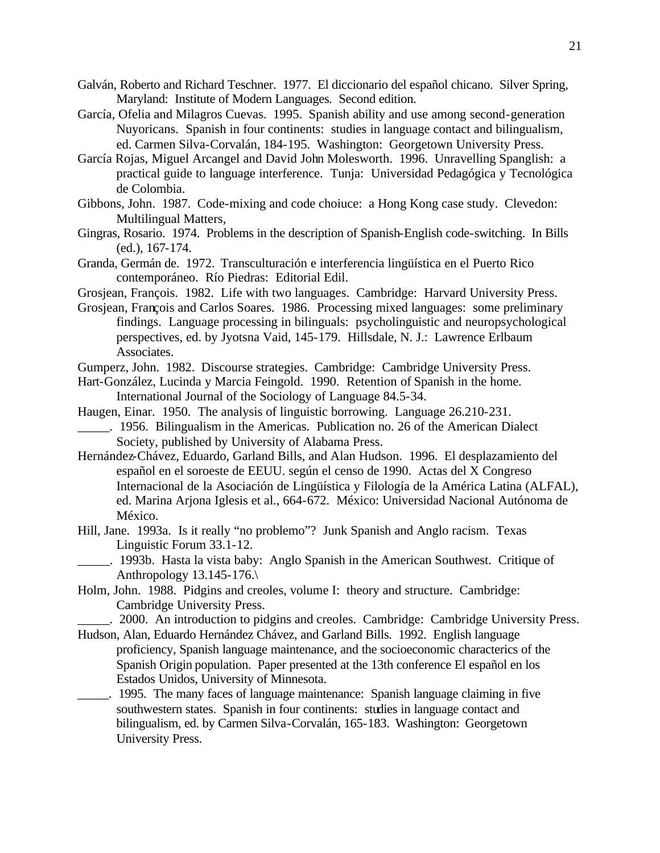- Galván, Roberto and Richard Teschner. 1977. El diccionario del español chicano. Silver Spring, Maryland: Institute of Modern Languages. Second edition.
- García, Ofelia and Milagros Cuevas. 1995. Spanish ability and use among second-generation Nuyoricans. Spanish in four continents: studies in language contact and bilingualism, ed. Carmen Silva-Corvalán, 184-195. Washington: Georgetown University Press.
- García Rojas, Miguel Arcangel and David John Molesworth. 1996. Unravelling Spanglish: a practical guide to language interference. Tunja: Universidad Pedagógica y Tecnológica de Colombia.
- Gibbons, John. 1987. Code-mixing and code choiuce: a Hong Kong case study. Clevedon: Multilingual Matters,
- Gingras, Rosario. 1974. Problems in the description of Spanish-English code-switching. In Bills (ed.), 167-174.
- Granda, Germán de. 1972. Transculturación e interferencia lingüística en el Puerto Rico contemporáneo. Río Piedras: Editorial Edil.
- Grosjean, François. 1982. Life with two languages. Cambridge: Harvard University Press.
- Grosjean, François and Carlos Soares. 1986. Processing mixed languages: some preliminary findings. Language processing in bilinguals: psycholinguistic and neuropsychological perspectives, ed. by Jyotsna Vaid, 145-179. Hillsdale, N. J.: Lawrence Erlbaum Associates.
- Gumperz, John. 1982. Discourse strategies. Cambridge: Cambridge University Press.
- Hart-González, Lucinda y Marcia Feingold. 1990. Retention of Spanish in the home. International Journal of the Sociology of Language 84.5-34.
- Haugen, Einar. 1950. The analysis of linguistic borrowing. Language 26.210-231.
- \_\_\_\_\_. 1956. Bilingualism in the Americas. Publication no. 26 of the American Dialect Society, published by University of Alabama Press.
- Hernández-Chávez, Eduardo, Garland Bills, and Alan Hudson. 1996. El desplazamiento del español en el soroeste de EEUU. según el censo de 1990. Actas del X Congreso Internacional de la Asociación de Lingüística y Filología de la América Latina (ALFAL), ed. Marina Arjona Iglesis et al., 664-672. México: Universidad Nacional Autónoma de México.
- Hill, Jane. 1993a. Is it really "no problemo"? Junk Spanish and Anglo racism. Texas Linguistic Forum 33.1-12.
- \_\_\_\_\_. 1993b. Hasta la vista baby: Anglo Spanish in the American Southwest. Critique of Anthropology 13.145-176.\
- Holm, John. 1988. Pidgins and creoles, volume I: theory and structure. Cambridge: Cambridge University Press.
	- \_\_\_\_\_. 2000. An introduction to pidgins and creoles. Cambridge: Cambridge University Press.
- Hudson, Alan, Eduardo Hernández Chávez, and Garland Bills. 1992. English language proficiency, Spanish language maintenance, and the socioeconomic characterics of the Spanish Origin population. Paper presented at the 13th conference El español en los Estados Unidos, University of Minnesota.
- \_\_\_\_\_. 1995. The many faces of language maintenance: Spanish language claiming in five southwestern states. Spanish in four continents: studies in language contact and bilingualism, ed. by Carmen Silva-Corvalán, 165-183. Washington: Georgetown University Press.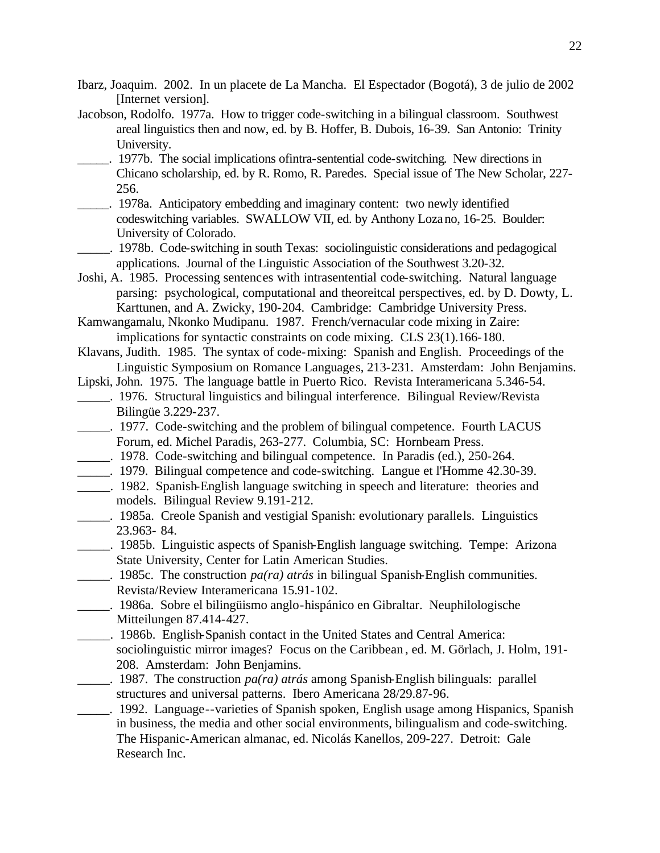- Ibarz, Joaquim. 2002. In un placete de La Mancha. El Espectador (Bogotá), 3 de julio de 2002 [Internet version].
- Jacobson, Rodolfo. 1977a. How to trigger code-switching in a bilingual classroom. Southwest areal linguistics then and now, ed. by B. Hoffer, B. Dubois, 16-39. San Antonio: Trinity University.
- \_\_\_\_\_. 1977b. The social implications ofintra-sentential code-switching. New directions in Chicano scholarship, ed. by R. Romo, R. Paredes. Special issue of The New Scholar, 227- 256.
- \_\_\_\_\_. 1978a. Anticipatory embedding and imaginary content: two newly identified codeswitching variables. SWALLOW VII, ed. by Anthony Lozano, 16-25. Boulder: University of Colorado.
- \_\_\_\_\_. 1978b. Code-switching in south Texas: sociolinguistic considerations and pedagogical applications. Journal of the Linguistic Association of the Southwest 3.20-32.
- Joshi, A. 1985. Processing sentences with intrasentential code-switching. Natural language parsing: psychological, computational and theoreitcal perspectives, ed. by D. Dowty, L. Karttunen, and A. Zwicky, 190-204. Cambridge: Cambridge University Press.
- Kamwangamalu, Nkonko Mudipanu. 1987. French/vernacular code mixing in Zaire: implications for syntactic constraints on code mixing. CLS 23(1).166-180.
- Klavans, Judith. 1985. The syntax of code-mixing: Spanish and English. Proceedings of the Linguistic Symposium on Romance Languages, 213-231. Amsterdam: John Benjamins.
- Lipski, John. 1975. The language battle in Puerto Rico. Revista Interamericana 5.346-54.
- \_\_\_\_\_. 1976. Structural linguistics and bilingual interference. Bilingual Review/Revista Bilingüe 3.229-237.
- \_\_\_\_\_. 1977. Code-switching and the problem of bilingual competence. Fourth LACUS Forum, ed. Michel Paradis, 263-277. Columbia, SC: Hornbeam Press.
- \_\_\_\_\_. 1978. Code-switching and bilingual competence. In Paradis (ed.), 250-264.
- \_\_\_\_\_. 1979. Bilingual competence and code-switching. Langue et l'Homme 42.30-39.
- . 1982. Spanish-English language switching in speech and literature: theories and models. Bilingual Review 9.191-212.
- \_\_\_\_\_. 1985a. Creole Spanish and vestigial Spanish: evolutionary parallels. Linguistics 23.963- 84.
- \_\_\_\_\_. 1985b. Linguistic aspects of Spanish-English language switching. Tempe: Arizona State University, Center for Latin American Studies.
- \_\_\_\_\_. 1985c. The construction *pa(ra) atrás* in bilingual Spanish-English communities. Revista/Review Interamericana 15.91-102.
- \_\_\_\_\_. 1986a. Sobre el bilingüismo anglo-hispánico en Gibraltar. Neuphilologische Mitteilungen 87.414-427.
- \_\_\_\_\_. 1986b. English-Spanish contact in the United States and Central America: sociolinguistic mirror images? Focus on the Caribbean , ed. M. Görlach, J. Holm, 191- 208. Amsterdam: John Benjamins.
- \_\_\_\_\_. 1987. The construction *pa(ra) atrás* among Spanish-English bilinguals: parallel structures and universal patterns. Ibero Americana 28/29.87-96.
- \_\_\_\_\_. 1992. Language--varieties of Spanish spoken, English usage among Hispanics, Spanish in business, the media and other social environments, bilingualism and code-switching. The Hispanic-American almanac, ed. Nicolás Kanellos, 209-227. Detroit: Gale Research Inc.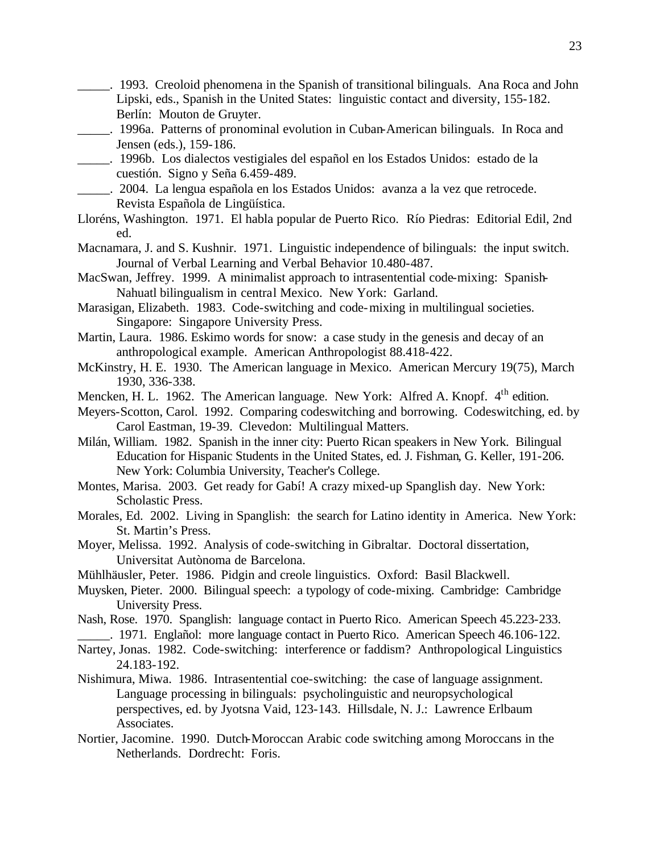- \_\_\_\_\_. 1993. Creoloid phenomena in the Spanish of transitional bilinguals. Ana Roca and John Lipski, eds., Spanish in the United States: linguistic contact and diversity, 155-182. Berlín: Mouton de Gruyter.
- \_\_\_\_\_. 1996a. Patterns of pronominal evolution in Cuban-American bilinguals. In Roca and Jensen (eds.), 159-186.
- \_\_\_\_\_. 1996b. Los dialectos vestigiales del español en los Estados Unidos: estado de la cuestión. Signo y Seña 6.459-489.
- \_\_\_\_\_. 2004. La lengua española en los Estados Unidos: avanza a la vez que retrocede. Revista Española de Lingüística.
- Lloréns, Washington. 1971. El habla popular de Puerto Rico. Río Piedras: Editorial Edil, 2nd ed.
- Macnamara, J. and S. Kushnir. 1971. Linguistic independence of bilinguals: the input switch. Journal of Verbal Learning and Verbal Behavior 10.480-487.
- MacSwan, Jeffrey. 1999. A minimalist approach to intrasentential code-mixing: Spanish-Nahuatl bilingualism in central Mexico. New York: Garland.
- Marasigan, Elizabeth. 1983. Code-switching and code-mixing in multilingual societies. Singapore: Singapore University Press.
- Martin, Laura. 1986. Eskimo words for snow: a case study in the genesis and decay of an anthropological example. American Anthropologist 88.418-422.
- McKinstry, H. E. 1930. The American language in Mexico. American Mercury 19(75), March 1930, 336-338.
- Mencken, H. L. 1962. The American language. New York: Alfred A. Knopf. 4<sup>th</sup> edition.
- Meyers-Scotton, Carol. 1992. Comparing codeswitching and borrowing. Codeswitching, ed. by Carol Eastman, 19-39. Clevedon: Multilingual Matters.
- Milán, William. 1982. Spanish in the inner city: Puerto Rican speakers in New York. Bilingual Education for Hispanic Students in the United States, ed. J. Fishman, G. Keller, 191-206. New York: Columbia University, Teacher's College.
- Montes, Marisa. 2003. Get ready for Gabí! A crazy mixed-up Spanglish day. New York: Scholastic Press.
- Morales, Ed. 2002. Living in Spanglish: the search for Latino identity in America. New York: St. Martin's Press.
- Moyer, Melissa. 1992. Analysis of code-switching in Gibraltar. Doctoral dissertation, Universitat Autònoma de Barcelona.
- Mühlhäusler, Peter. 1986. Pidgin and creole linguistics. Oxford: Basil Blackwell.
- Muysken, Pieter. 2000. Bilingual speech: a typology of code-mixing. Cambridge: Cambridge University Press.
- Nash, Rose. 1970. Spanglish: language contact in Puerto Rico. American Speech 45.223-233. \_\_\_\_\_. 1971. Englañol: more language contact in Puerto Rico. American Speech 46.106-122.
- Nartey, Jonas. 1982. Code-switching: interference or faddism? Anthropological Linguistics 24.183-192.
- Nishimura, Miwa. 1986. Intrasentential coe-switching: the case of language assignment. Language processing in bilinguals: psycholinguistic and neuropsychological perspectives, ed. by Jyotsna Vaid, 123-143. Hillsdale, N. J.: Lawrence Erlbaum Associates.
- Nortier, Jacomine. 1990. Dutch-Moroccan Arabic code switching among Moroccans in the Netherlands. Dordrecht: Foris.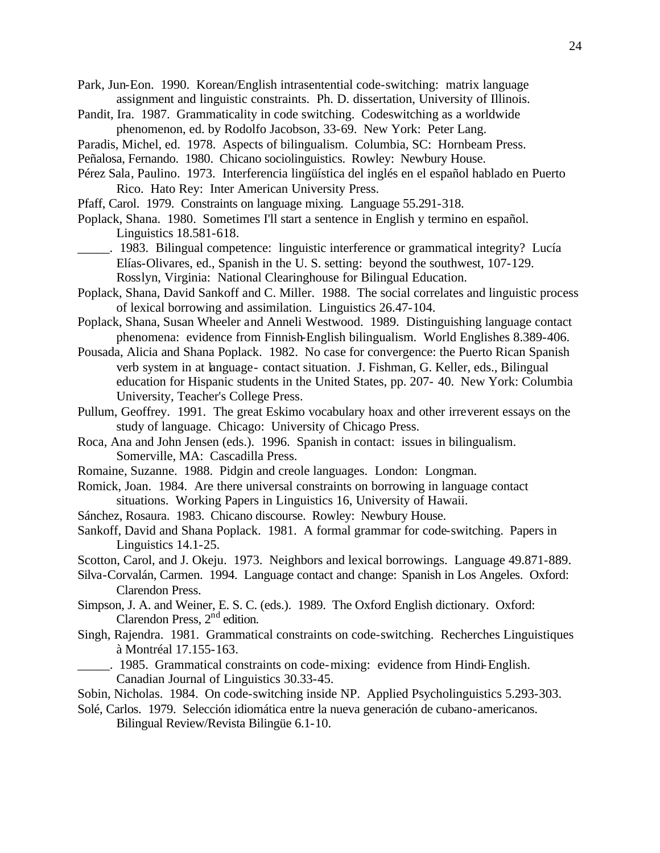- Park, Jun-Eon. 1990. Korean/English intrasentential code-switching: matrix language assignment and linguistic constraints. Ph. D. dissertation, University of Illinois.
- Pandit, Ira. 1987. Grammaticality in code switching. Codeswitching as a worldwide phenomenon, ed. by Rodolfo Jacobson, 33-69. New York: Peter Lang.
- Paradis, Michel, ed. 1978. Aspects of bilingualism. Columbia, SC: Hornbeam Press.
- Peñalosa, Fernando. 1980. Chicano sociolinguistics. Rowley: Newbury House.
- Pérez Sala, Paulino. 1973. Interferencia lingüística del inglés en el español hablado en Puerto Rico. Hato Rey: Inter American University Press.
- Pfaff, Carol. 1979. Constraints on language mixing. Language 55.291-318.
- Poplack, Shana. 1980. Sometimes I'll start a sentence in English y termino en español. Linguistics 18.581-618.
- \_\_\_\_\_. 1983. Bilingual competence: linguistic interference or grammatical integrity? Lucía Elías-Olivares, ed., Spanish in the U. S. setting: beyond the southwest, 107-129. Rosslyn, Virginia: National Clearinghouse for Bilingual Education.
- Poplack, Shana, David Sankoff and C. Miller. 1988. The social correlates and linguistic process of lexical borrowing and assimilation. Linguistics 26.47-104.
- Poplack, Shana, Susan Wheeler and Anneli Westwood. 1989. Distinguishing language contact phenomena: evidence from Finnish-English bilingualism. World Englishes 8.389-406.
- Pousada, Alicia and Shana Poplack. 1982. No case for convergence: the Puerto Rican Spanish verb system in at language- contact situation. J. Fishman, G. Keller, eds., Bilingual education for Hispanic students in the United States, pp. 207- 40. New York: Columbia University, Teacher's College Press.
- Pullum, Geoffrey. 1991. The great Eskimo vocabulary hoax and other irreverent essays on the study of language. Chicago: University of Chicago Press.
- Roca, Ana and John Jensen (eds.). 1996. Spanish in contact: issues in bilingualism. Somerville, MA: Cascadilla Press.
- Romaine, Suzanne. 1988. Pidgin and creole languages. London: Longman.
- Romick, Joan. 1984. Are there universal constraints on borrowing in language contact situations. Working Papers in Linguistics 16, University of Hawaii.
- Sánchez, Rosaura. 1983. Chicano discourse. Rowley: Newbury House.
- Sankoff, David and Shana Poplack. 1981. A formal grammar for code-switching. Papers in Linguistics 14.1-25.
- Scotton, Carol, and J. Okeju. 1973. Neighbors and lexical borrowings. Language 49.871-889.
- Silva-Corvalán, Carmen. 1994. Language contact and change: Spanish in Los Angeles. Oxford: Clarendon Press.
- Simpson, J. A. and Weiner, E. S. C. (eds.). 1989. The Oxford English dictionary. Oxford: Clarendon Press, 2<sup>nd</sup> edition.
- Singh, Rajendra. 1981. Grammatical constraints on code-switching. Recherches Linguistiques à Montréal 17.155-163.
	- \_\_\_\_\_. 1985. Grammatical constraints on code-mixing: evidence from Hindi-English. Canadian Journal of Linguistics 30.33-45.

Sobin, Nicholas. 1984. On code-switching inside NP. Applied Psycholinguistics 5.293-303.

Solé, Carlos. 1979. Selección idiomática entre la nueva generación de cubano-americanos. Bilingual Review/Revista Bilingüe 6.1-10.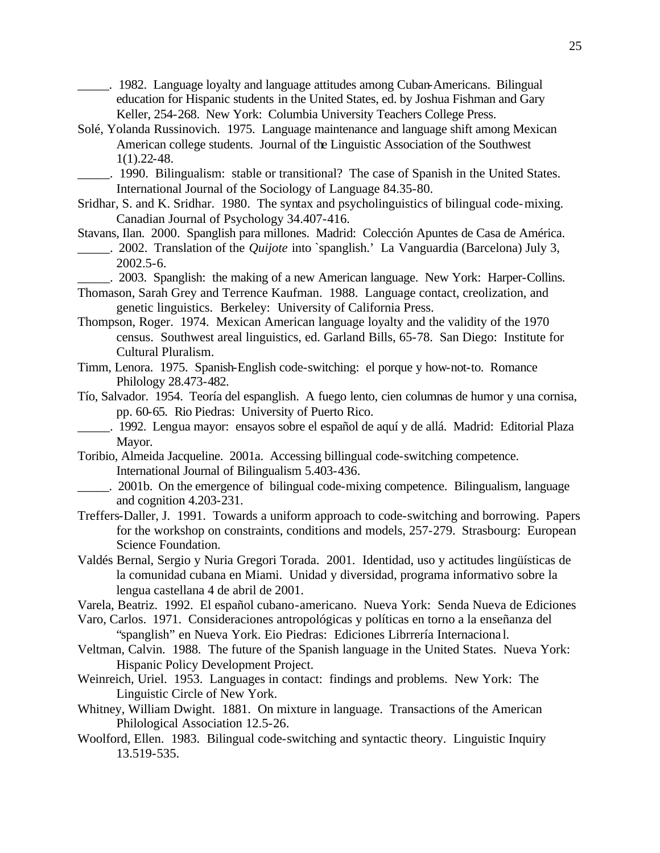- \_\_\_\_\_. 1982. Language loyalty and language attitudes among Cuban-Americans. Bilingual education for Hispanic students in the United States, ed. by Joshua Fishman and Gary Keller, 254-268. New York: Columbia University Teachers College Press.
- Solé, Yolanda Russinovich. 1975. Language maintenance and language shift among Mexican American college students. Journal of the Linguistic Association of the Southwest 1(1).22-48.
- \_\_\_\_\_. 1990. Bilingualism: stable or transitional? The case of Spanish in the United States. International Journal of the Sociology of Language 84.35-80.
- Sridhar, S. and K. Sridhar. 1980. The syntax and psycholinguistics of bilingual code-mixing. Canadian Journal of Psychology 34.407-416.
- Stavans, Ilan. 2000. Spanglish para millones. Madrid: Colección Apuntes de Casa de América. \_\_\_\_\_. 2002. Translation of the *Quijote* into `spanglish.' La Vanguardia (Barcelona) July 3, 2002.5-6.
	- \_\_\_\_\_. 2003. Spanglish: the making of a new American language. New York: Harper-Collins.
- Thomason, Sarah Grey and Terrence Kaufman. 1988. Language contact, creolization, and genetic linguistics. Berkeley: University of California Press.
- Thompson, Roger. 1974. Mexican American language loyalty and the validity of the 1970 census. Southwest areal linguistics, ed. Garland Bills, 65-78. San Diego: Institute for Cultural Pluralism.
- Timm, Lenora. 1975. Spanish-English code-switching: el porque y how-not-to. Romance Philology 28.473-482.
- Tío, Salvador. 1954. Teoría del espanglish. A fuego lento, cien columnas de humor y una cornisa, pp. 60-65. Rio Piedras: University of Puerto Rico.
- \_\_\_\_\_. 1992. Lengua mayor: ensayos sobre el español de aquí y de allá. Madrid: Editorial Plaza Mayor.
- Toribio, Almeida Jacqueline. 2001a. Accessing billingual code-switching competence. International Journal of Bilingualism 5.403-436.
	- \_\_\_\_\_. 2001b. On the emergence of bilingual code-mixing competence. Bilingualism, language and cognition 4.203-231.
- Treffers-Daller, J. 1991. Towards a uniform approach to code-switching and borrowing. Papers for the workshop on constraints, conditions and models, 257-279. Strasbourg: European Science Foundation.
- Valdés Bernal, Sergio y Nuria Gregori Torada. 2001. Identidad, uso y actitudes lingüísticas de la comunidad cubana en Miami. Unidad y diversidad, programa informativo sobre la lengua castellana 4 de abril de 2001.

Varela, Beatriz. 1992. El español cubano-americano. Nueva York: Senda Nueva de Ediciones

- Varo, Carlos. 1971. Consideraciones antropológicas y políticas en torno a la enseñanza del "spanglish" en Nueva York. Eio Piedras: Ediciones Librrería Internaciona l.
- Veltman, Calvin. 1988. The future of the Spanish language in the United States. Nueva York: Hispanic Policy Development Project.
- Weinreich, Uriel. 1953. Languages in contact: findings and problems. New York: The Linguistic Circle of New York.
- Whitney, William Dwight. 1881. On mixture in language. Transactions of the American Philological Association 12.5-26.
- Woolford, Ellen. 1983. Bilingual code-switching and syntactic theory. Linguistic Inquiry 13.519-535.